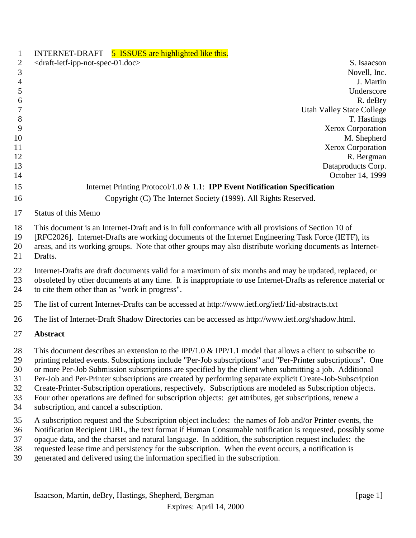| 1                                      | INTERNET-DRAFT 5 ISSUES are highlighted like this.                                                                                                                                                                                                                                                                                                                                                                                                                                                                                                                                                                                                                                                               |
|----------------------------------------|------------------------------------------------------------------------------------------------------------------------------------------------------------------------------------------------------------------------------------------------------------------------------------------------------------------------------------------------------------------------------------------------------------------------------------------------------------------------------------------------------------------------------------------------------------------------------------------------------------------------------------------------------------------------------------------------------------------|
| $\mathbf{2}$                           | <draft-ietf-ipp-not-spec-01.doc><br/>S. Isaacson</draft-ietf-ipp-not-spec-01.doc>                                                                                                                                                                                                                                                                                                                                                                                                                                                                                                                                                                                                                                |
| 3                                      | Novell, Inc.                                                                                                                                                                                                                                                                                                                                                                                                                                                                                                                                                                                                                                                                                                     |
| $\overline{4}$                         | J. Martin                                                                                                                                                                                                                                                                                                                                                                                                                                                                                                                                                                                                                                                                                                        |
| 5                                      | Underscore                                                                                                                                                                                                                                                                                                                                                                                                                                                                                                                                                                                                                                                                                                       |
| 6                                      | R. deBry                                                                                                                                                                                                                                                                                                                                                                                                                                                                                                                                                                                                                                                                                                         |
| 7                                      | <b>Utah Valley State College</b>                                                                                                                                                                                                                                                                                                                                                                                                                                                                                                                                                                                                                                                                                 |
| $8\,$                                  | T. Hastings                                                                                                                                                                                                                                                                                                                                                                                                                                                                                                                                                                                                                                                                                                      |
| 9                                      | <b>Xerox Corporation</b>                                                                                                                                                                                                                                                                                                                                                                                                                                                                                                                                                                                                                                                                                         |
| 10                                     | M. Shepherd                                                                                                                                                                                                                                                                                                                                                                                                                                                                                                                                                                                                                                                                                                      |
| 11                                     | <b>Xerox Corporation</b>                                                                                                                                                                                                                                                                                                                                                                                                                                                                                                                                                                                                                                                                                         |
| 12                                     | R. Bergman                                                                                                                                                                                                                                                                                                                                                                                                                                                                                                                                                                                                                                                                                                       |
| 13                                     | Dataproducts Corp.                                                                                                                                                                                                                                                                                                                                                                                                                                                                                                                                                                                                                                                                                               |
| 14                                     | October 14, 1999                                                                                                                                                                                                                                                                                                                                                                                                                                                                                                                                                                                                                                                                                                 |
| 15                                     | Internet Printing Protocol/1.0 $& 1.1$ : <b>IPP Event Notification Specification</b>                                                                                                                                                                                                                                                                                                                                                                                                                                                                                                                                                                                                                             |
| 16                                     | Copyright (C) The Internet Society (1999). All Rights Reserved.                                                                                                                                                                                                                                                                                                                                                                                                                                                                                                                                                                                                                                                  |
| 17                                     | <b>Status of this Memo</b>                                                                                                                                                                                                                                                                                                                                                                                                                                                                                                                                                                                                                                                                                       |
| 18<br>19<br>20<br>21                   | This document is an Internet-Draft and is in full conformance with all provisions of Section 10 of<br>[RFC2026]. Internet-Drafts are working documents of the Internet Engineering Task Force (IETF), its<br>areas, and its working groups. Note that other groups may also distribute working documents as Internet-<br>Drafts.                                                                                                                                                                                                                                                                                                                                                                                 |
| 22<br>23<br>24                         | Internet-Drafts are draft documents valid for a maximum of six months and may be updated, replaced, or<br>obsoleted by other documents at any time. It is inappropriate to use Internet-Drafts as reference material or<br>to cite them other than as "work in progress".                                                                                                                                                                                                                                                                                                                                                                                                                                        |
| 25                                     | The list of current Internet-Drafts can be accessed at http://www.ietf.org/ietf/1id-abstracts.txt                                                                                                                                                                                                                                                                                                                                                                                                                                                                                                                                                                                                                |
| 26                                     | The list of Internet-Draft Shadow Directories can be accessed as http://www.ietf.org/shadow.html.                                                                                                                                                                                                                                                                                                                                                                                                                                                                                                                                                                                                                |
| 27                                     | <b>Abstract</b>                                                                                                                                                                                                                                                                                                                                                                                                                                                                                                                                                                                                                                                                                                  |
| 28<br>29<br>30<br>31<br>32<br>33<br>34 | This document describes an extension to the IPP/1.0 & IPP/1.1 model that allows a client to subscribe to<br>printing related events. Subscriptions include "Per-Job subscriptions" and "Per-Printer subscriptions". One<br>or more Per-Job Submission subscriptions are specified by the client when submitting a job. Additional<br>Per-Job and Per-Printer subscriptions are created by performing separate explicit Create-Job-Subscription<br>Create-Printer-Subscription operations, respectively. Subscriptions are modeled as Subscription objects.<br>Four other operations are defined for subscription objects: get attributes, get subscriptions, renew a<br>subscription, and cancel a subscription. |
| 35<br>36<br>37<br>38<br>39             | A subscription request and the Subscription object includes: the names of Job and/or Printer events, the<br>Notification Recipient URL, the text format if Human Consumable notification is requested, possibly some<br>opaque data, and the charset and natural language. In addition, the subscription request includes: the<br>requested lease time and persistency for the subscription. When the event occurs, a notification is<br>generated and delivered using the information specified in the subscription.                                                                                                                                                                                            |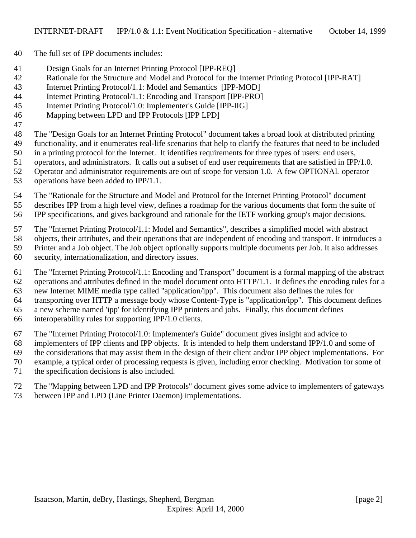- The full set of IPP documents includes:
- Design Goals for an Internet Printing Protocol [IPP-REQ]
- Rationale for the Structure and Model and Protocol for the Internet Printing Protocol [IPP-RAT]
- Internet Printing Protocol/1.1: Model and Semantics [IPP-MOD]
- Internet Printing Protocol/1.1: Encoding and Transport [IPP-PRO]
- Internet Printing Protocol/1.0: Implementer's Guide [IPP-IIG]
- Mapping between LPD and IPP Protocols [IPP LPD]
- 

The "Design Goals for an Internet Printing Protocol" document takes a broad look at distributed printing

- functionality, and it enumerates real-life scenarios that help to clarify the features that need to be included
- in a printing protocol for the Internet. It identifies requirements for three types of users: end users,

operators, and administrators. It calls out a subset of end user requirements that are satisfied in IPP/1.0.

- Operator and administrator requirements are out of scope for version 1.0. A few OPTIONAL operator
- operations have been added to IPP/1.1.
- The "Rationale for the Structure and Model and Protocol for the Internet Printing Protocol" document describes IPP from a high level view, defines a roadmap for the various documents that form the suite of
- IPP specifications, and gives background and rationale for the IETF working group's major decisions.
- The "Internet Printing Protocol/1.1: Model and Semantics", describes a simplified model with abstract
- objects, their attributes, and their operations that are independent of encoding and transport. It introduces a Printer and a Job object. The Job object optionally supports multiple documents per Job. It also addresses
- 
- security, internationalization, and directory issues.
- The "Internet Printing Protocol/1.1: Encoding and Transport" document is a formal mapping of the abstract operations and attributes defined in the model document onto HTTP/1.1. It defines the encoding rules for a new Internet MIME media type called "application/ipp". This document also defines the rules for transporting over HTTP a message body whose Content-Type is "application/ipp". This document defines a new scheme named 'ipp' for identifying IPP printers and jobs. Finally, this document defines
- interoperability rules for supporting IPP/1.0 clients.
- The "Internet Printing Protocol/1.0: Implementer's Guide" document gives insight and advice to
- implementers of IPP clients and IPP objects. It is intended to help them understand IPP/1.0 and some of
- the considerations that may assist them in the design of their client and/or IPP object implementations. For
- example, a typical order of processing requests is given, including error checking. Motivation for some of
- the specification decisions is also included.
- The "Mapping between LPD and IPP Protocols" document gives some advice to implementers of gateways between IPP and LPD (Line Printer Daemon) implementations.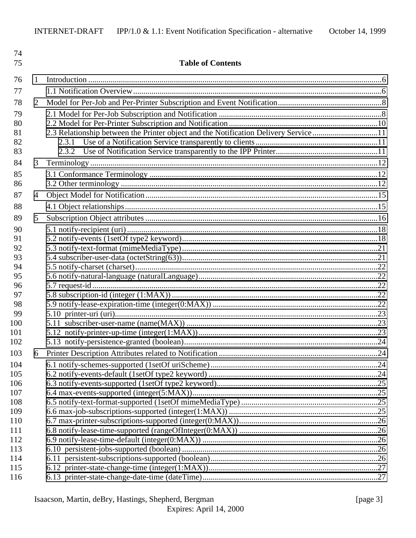| 74         |   |                                                                                      |  |
|------------|---|--------------------------------------------------------------------------------------|--|
| 75         |   | <b>Table of Contents</b>                                                             |  |
| 76         | 1 |                                                                                      |  |
| 77         |   |                                                                                      |  |
| 78         | 2 |                                                                                      |  |
| 79         |   |                                                                                      |  |
| 80         |   |                                                                                      |  |
| 81         |   | 2.3 Relationship between the Printer object and the Notification Delivery Service 11 |  |
| 82         |   | 2.3.1                                                                                |  |
| 83         |   |                                                                                      |  |
| 84         | 3 |                                                                                      |  |
| 85         |   |                                                                                      |  |
| 86         |   |                                                                                      |  |
| 87         | 4 |                                                                                      |  |
| 88         |   |                                                                                      |  |
| 89         | 5 |                                                                                      |  |
| 90         |   |                                                                                      |  |
| 91         |   |                                                                                      |  |
| 92         |   |                                                                                      |  |
| 93         |   |                                                                                      |  |
| 94         |   |                                                                                      |  |
| 95         |   |                                                                                      |  |
| 96         |   |                                                                                      |  |
| 97         |   |                                                                                      |  |
| 98<br>99   |   |                                                                                      |  |
| 100        |   |                                                                                      |  |
| 101        |   |                                                                                      |  |
| 102        |   |                                                                                      |  |
| 103        |   |                                                                                      |  |
| 104        |   |                                                                                      |  |
| 105        |   |                                                                                      |  |
| 106        |   |                                                                                      |  |
| 107        |   |                                                                                      |  |
| 108        |   |                                                                                      |  |
| 109        |   |                                                                                      |  |
| 110        |   |                                                                                      |  |
| 111        |   |                                                                                      |  |
| 112        |   |                                                                                      |  |
| 113        |   |                                                                                      |  |
| 114<br>115 |   |                                                                                      |  |
| 116        |   |                                                                                      |  |
|            |   |                                                                                      |  |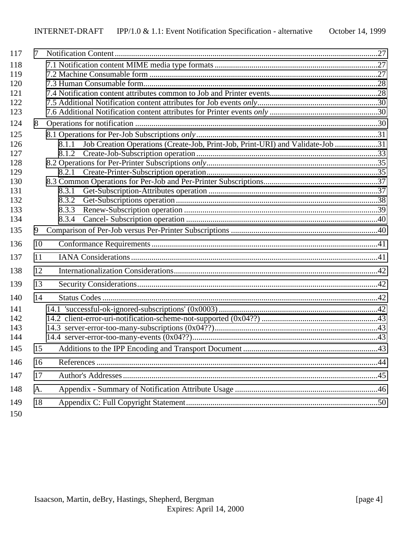| 117 | 7  |                                                                                         |  |
|-----|----|-----------------------------------------------------------------------------------------|--|
| 118 |    |                                                                                         |  |
| 119 |    |                                                                                         |  |
| 120 |    |                                                                                         |  |
| 121 |    |                                                                                         |  |
| 122 |    |                                                                                         |  |
| 123 |    |                                                                                         |  |
| 124 | 8  |                                                                                         |  |
| 125 |    |                                                                                         |  |
| 126 |    | Job Creation Operations (Create-Job, Print-Job, Print-URI) and Validate-Job 31<br>8.1.1 |  |
| 127 |    |                                                                                         |  |
| 128 |    |                                                                                         |  |
| 129 |    | 8.2.1                                                                                   |  |
| 130 |    |                                                                                         |  |
| 131 |    | 8.3.1                                                                                   |  |
| 132 |    | 8.3.2                                                                                   |  |
| 133 |    | 8.3.3                                                                                   |  |
| 134 |    | 8.3.4                                                                                   |  |
| 135 | 9  |                                                                                         |  |
| 136 | 10 |                                                                                         |  |
| 137 | 11 |                                                                                         |  |
| 138 | 12 |                                                                                         |  |
| 139 | 13 |                                                                                         |  |
| 140 | 14 |                                                                                         |  |
| 141 |    |                                                                                         |  |
| 142 |    |                                                                                         |  |
| 143 |    |                                                                                         |  |
| 144 |    |                                                                                         |  |
| 145 | 15 |                                                                                         |  |
| 146 | 16 |                                                                                         |  |
| 147 | 17 |                                                                                         |  |
| 148 |    |                                                                                         |  |
|     | A. |                                                                                         |  |
| 149 | 18 |                                                                                         |  |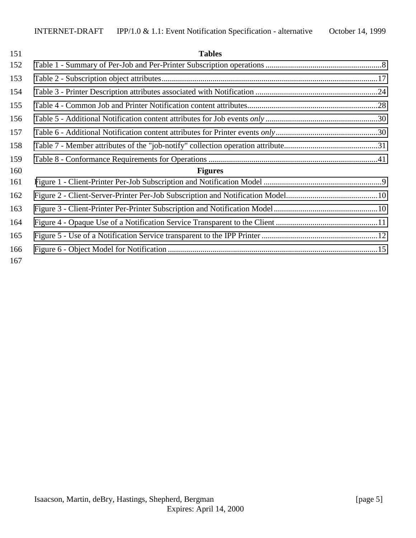| 151 | <b>Tables</b>  |  |
|-----|----------------|--|
| 152 |                |  |
| 153 |                |  |
| 154 |                |  |
| 155 |                |  |
| 156 |                |  |
| 157 |                |  |
| 158 |                |  |
| 159 |                |  |
| 160 | <b>Figures</b> |  |
| 161 |                |  |
| 162 |                |  |
| 163 |                |  |
| 164 |                |  |
| 165 |                |  |
| 166 |                |  |
| 167 |                |  |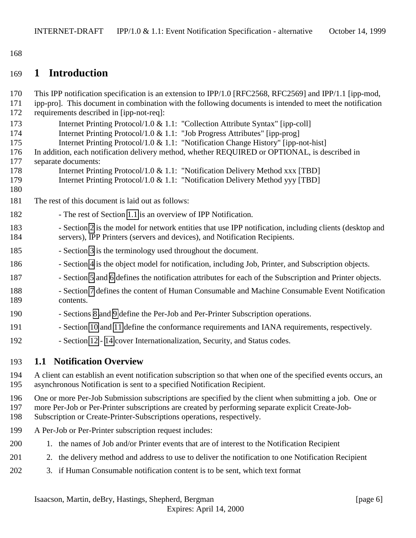<span id="page-5-0"></span>168

# 169 **1 Introduction**

| 170<br>171<br>172 | This IPP notification specification is an extension to IPP/1.0 [RFC2568, RFC2569] and IPP/1.1 [ipp-mod,<br>ipp-pro]. This document in combination with the following documents is intended to meet the notification<br>requirements described in [ipp-not-req]: |
|-------------------|-----------------------------------------------------------------------------------------------------------------------------------------------------------------------------------------------------------------------------------------------------------------|
| 173               | Internet Printing Protocol/1.0 & 1.1: "Collection Attribute Syntax" [ipp-coll]                                                                                                                                                                                  |
| 174               | Internet Printing Protocol/1.0 & 1.1: "Job Progress Attributes" [ipp-prog]                                                                                                                                                                                      |
| 175               | Internet Printing Protocol/1.0 & 1.1: "Notification Change History" [ipp-not-hist]                                                                                                                                                                              |
| 176               | In addition, each notification delivery method, whether REQUIRED or OPTIONAL, is described in                                                                                                                                                                   |
| 177               | separate documents:                                                                                                                                                                                                                                             |
| 178               | Internet Printing Protocol/1.0 & 1.1: "Notification Delivery Method xxx [TBD]                                                                                                                                                                                   |
| 179               | Internet Printing Protocol/1.0 & 1.1: "Notification Delivery Method yyy [TBD]                                                                                                                                                                                   |
| 180               |                                                                                                                                                                                                                                                                 |
| 181               | The rest of this document is laid out as follows:                                                                                                                                                                                                               |
| 182               | - The rest of Section 1.1 is an overview of IPP Notification.                                                                                                                                                                                                   |
| 183<br>184        | - Section 2 is the model for network entities that use IPP notification, including clients (desktop and<br>servers), IPP Printers (servers and devices), and Notification Recipients.                                                                           |
| 185               | - Section 3 is the terminology used throughout the document.                                                                                                                                                                                                    |
| 186               | - Section 4 is the object model for notification, including Job, Printer, and Subscription objects.                                                                                                                                                             |
| 187               | - Section 5 and 6 defines the notification attributes for each of the Subscription and Printer objects.                                                                                                                                                         |
| 188<br>189        | - Section 7 defines the content of Human Consumable and Machine Consumable Event Notification<br>contents.                                                                                                                                                      |
| 190               | - Sections 8 and 9 define the Per-Job and Per-Printer Subscription operations.                                                                                                                                                                                  |
| 191               | - Section 10 and 11 define the conformance requirements and IANA requirements, respectively.                                                                                                                                                                    |
| 192               | - Section 12 - 14 cover Internationalization, Security, and Status codes.                                                                                                                                                                                       |
| 193               | <b>1.1 Notification Overview</b>                                                                                                                                                                                                                                |
| 194<br>195        | A client can establish an event notification subscription so that when one of the specified events occurs, an<br>asynchronous Notification is sent to a specified Notification Recipient.                                                                       |
| $\sim$            | $\mathcal{L}$ , and it is a set of the set of $\mathcal{L}$ , and it is a set of $\mathcal{L}$ , and it is a set of $\mathcal{L}$                                                                                                                               |

- 196 One or more Per-Job Submission subscriptions are specified by the client when submitting a job. One or 197 more Per-Job or Per-Printer subscriptions are created by performing separate explicit Create-Job-
- 198 Subscription or Create-Printer-Subscriptions operations, respectively.
- 199 A Per-Job or Per-Printer subscription request includes:
- 200 1. the names of Job and/or Printer events that are of interest to the Notification Recipient
- 201 2. the delivery method and address to use to deliver the notification to one Notification Recipient
- 202 3. if Human Consumable notification content is to be sent, which text format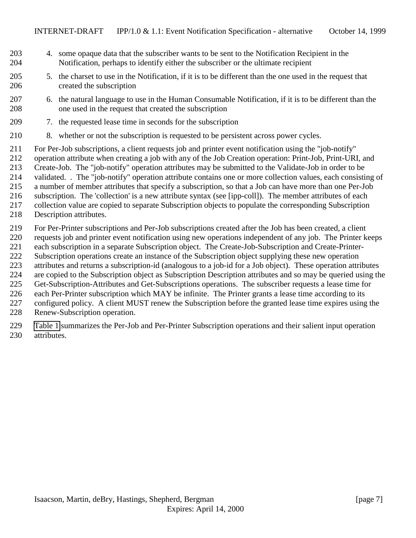- 4. some opaque data that the subscriber wants to be sent to the Notification Recipient in the Notification, perhaps to identify either the subscriber or the ultimate recipient
- 5. the charset to use in the Notification, if it is to be different than the one used in the request that created the subscription
- 6. the natural language to use in the Human Consumable Notification, if it is to be different than the one used in the request that created the subscription
- 7. the requested lease time in seconds for the subscription
- 8. whether or not the subscription is requested to be persistent across power cycles.

 For Per-Job subscriptions, a client requests job and printer event notification using the "job-notify" operation attribute when creating a job with any of the Job Creation operation: Print-Job, Print-URI, and Create-Job. The "job-notify" operation attributes may be submitted to the Validate-Job in order to be validated. . The "job-notify" operation attribute contains one or more collection values, each consisting of a number of member attributes that specify a subscription, so that a Job can have more than one Per-Job subscription. The 'collection' is a new attribute syntax (see [ipp-coll]). The member attributes of each collection value are copied to separate Subscription objects to populate the corresponding Subscription

Description attributes.

 For Per-Printer subscriptions and Per-Job subscriptions created after the Job has been created, a client requests job and printer event notification using new operations independent of any job. The Printer keeps each subscription in a separate Subscription object. The Create-Job-Subscription and Create-Printer- Subscription operations create an instance of the Subscription object supplying these new operation attributes and returns a subscription-id (analogous to a job-id for a Job object). These operation attributes are copied to the Subscription object as Subscription Description attributes and so may be queried using the Get-Subscription-Attributes and Get-Subscriptions operations. The subscriber requests a lease time for each Per-Printer subscription which MAY be infinite. The Printer grants a lease time according to its configured policy. A client MUST renew the Subscription before the granted lease time expires using the Renew-Subscription operation.

 [Table 1](#page-7-0) summarizes the Per-Job and Per-Printer Subscription operations and their salient input operation attributes.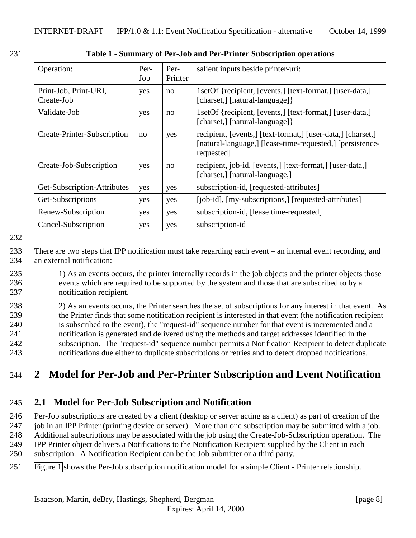| Operation:                          | Per-<br>Job | Per-<br>Printer | salient inputs beside printer-uri:                                                                                                     |
|-------------------------------------|-------------|-----------------|----------------------------------------------------------------------------------------------------------------------------------------|
| Print-Job, Print-URI,<br>Create-Job | yes         | no              | 1setOf {recipient, [events,] [text-format,] [user-data,]<br>[charset,] [natural-language] }                                            |
| Validate-Job                        | yes         | no              | 1setOf {recipient, [events,] [text-format,] [user-data,]<br>[charset,] [natural-language] }                                            |
| Create-Printer-Subscription         | no          | yes             | recipient, [events,] [text-format,] [user-data,] [charset,]<br>[natural-language,] [lease-time-requested,] [persistence-<br>requested] |
| Create-Job-Subscription             | yes         | no              | recipient, job-id, [events,] [text-format,] [user-data,]<br>[charset,] [natural-language,]                                             |
| Get-Subscription-Attributes         | yes         | yes             | subscription-id, [requested-attributes]                                                                                                |
| Get-Subscriptions                   | yes         | yes             | [job-id], [my-subscriptions,] [requested-attributes]                                                                                   |
| Renew-Subscription                  | yes         | yes             | subscription-id, [lease time-requested]                                                                                                |
| Cancel-Subscription                 | yes         | yes             | subscription-id                                                                                                                        |

<span id="page-7-0"></span>231 **Table 1 - Summary of Per-Job and Per-Printer Subscription operations**

232

233 There are two steps that IPP notification must take regarding each event – an internal event recording, and 234 an external notification:

235 1) As an events occurs, the printer internally records in the job objects and the printer objects those 236 events which are required to be supported by the system and those that are subscribed to by a 237 notification recipient.

 2) As an events occurs, the Printer searches the set of subscriptions for any interest in that event. As the Printer finds that some notification recipient is interested in that event (the notification recipient is subscribed to the event), the "request-id" sequence number for that event is incremented and a notification is generated and delivered using the methods and target addresses identified in the subscription. The "request-id" sequence number permits a Notification Recipient to detect duplicate notifications due either to duplicate subscriptions or retries and to detect dropped notifications.

# 244 **2 Model for Per-Job and Per-Printer Subscription and Event Notification**

# 245 **2.1 Model for Per-Job Subscription and Notification**

 Per-Job subscriptions are created by a client (desktop or server acting as a client) as part of creation of the job in an IPP Printer (printing device or server). More than one subscription may be submitted with a job. Additional subscriptions may be associated with the job using the Create-Job-Subscription operation. The IPP Printer object delivers a Notifications to the Notification Recipient supplied by the Client in each

250 subscription. A Notification Recipient can be the Job submitter or a third party.

251 [Figure 1](#page-8-0) shows the Per-Job subscription notification model for a simple Client - Printer relationship.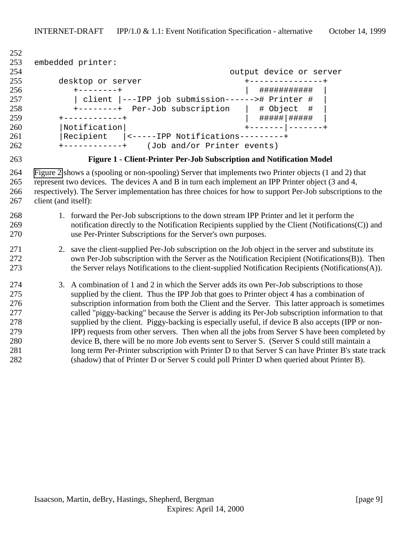```
252
253 embedded printer:
254 output device or server
255 desktop or server +---------------+
256 +--------+ | ########### |
257 | client |---IPP job submission------># Printer # |
258 +--------+ Per-Job subscription | # Object # |
259 +-----------+ | #####|######
260 |Notification| +-------|-------+
261 |Recipient |<-----IPP Notifications---------+
262 +------------+ (Job and/or Printer events)
```


**Figure 1 - Client-Printer Per-Job Subscription and Notification Model**

 [Figure 2](#page-9-0) shows a (spooling or non-spooling) Server that implements two Printer objects (1 and 2) that represent two devices. The devices A and B in turn each implement an IPP Printer object (3 and 4, respectively). The Server implementation has three choices for how to support Per-Job subscriptions to the client (and itself):

#### 1. forward the Per-Job subscriptions to the down stream IPP Printer and let it perform the notification directly to the Notification Recipients supplied by the Client (Notifications(C)) and use Per-Printer Subscriptions for the Server's own purposes.

#### 2. save the client-supplied Per-Job subscription on the Job object in the server and substitute its own Per-Job subscription with the Server as the Notification Recipient (Notifications(B)). Then the Server relays Notifications to the client-supplied Notification Recipients (Notifications(A)).

 3. A combination of 1 and 2 in which the Server adds its own Per-Job subscriptions to those supplied by the client. Thus the IPP Job that goes to Printer object 4 has a combination of subscription information from both the Client and the Server. This latter approach is sometimes called "piggy-backing" because the Server is adding its Per-Job subscription information to that supplied by the client. Piggy-backing is especially useful, if device B also accepts (IPP or non- IPP) requests from other servers. Then when all the jobs from Server S have been completed by device B, there will be no more Job events sent to Server S. (Server S could still maintain a long term Per-Printer subscription with Printer D to that Server S can have Printer B's state track (shadow) that of Printer D or Server S could poll Printer D when queried about Printer B).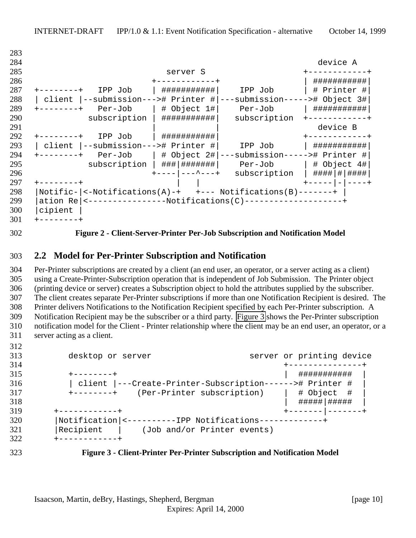| 283 |                                                                              |                       |
|-----|------------------------------------------------------------------------------|-----------------------|
| 284 |                                                                              | device A              |
| 285 | server S                                                                     |                       |
| 286 |                                                                              | ###########           |
| 287 | ###########<br>IPP Job<br>IPP Job                                            | # Printer #           |
| 288 | --submission---># Printer #<br>---submission-----># Object 3#<br>client      |                       |
| 289 | $ $ # Object 1# $ $<br>Per-Job<br>Per-Job<br>-------+                        | ###########           |
| 290 | subscription<br>###########<br>subscription                                  |                       |
| 291 |                                                                              | device B              |
| 292 | IPP Job<br>###########<br>-------+                                           |                       |
| 293 | --submission---># Printer #<br>client<br>IPP Job                             | ###########           |
| 294 | ---submission-----># Printer #<br>$Per-Job$   # Object 2#<br>$- - - - - - +$ |                       |
| 295 | $subscript to n$   ### ########                                              | Per-Job   # Object 4# |
| 296 | subscription<br>----   ---^---+                                              | ####   #   ####       |
| 297 |                                                                              |                       |
| 298 | $\leftarrow$ Notifications(A)-+ +--- Notifications(B)-------+<br>Notific-    |                       |
| 299 | ation Re   <-----------------Notifications(C)---------------------           |                       |
| 300 | cipient                                                                      |                       |
| 301 |                                                                              |                       |

<span id="page-9-0"></span>

#### **Figure 2 - Client-Server-Printer Per-Job Subscription and Notification Model**

#### **2.2 Model for Per-Printer Subscription and Notification**

 Per-Printer subscriptions are created by a client (an end user, an operator, or a server acting as a client) using a Create-Printer-Subscription operation that is independent of Job Submission. The Printer object (printing device or server) creates a Subscription object to hold the attributes supplied by the subscriber. The client creates separate Per-Printer subscriptions if more than one Notification Recipient is desired. The Printer delivers Notifications to the Notification Recipient specified by each Per-Printer subscription. A Notification Recipient may be the subscriber or a third party. Figure 3 shows the Per-Printer subscription notification model for the Client - Printer relationship where the client may be an end user, an operator, or a server acting as a client.

| 313 | desktop or server                                        |  | server or printing device   |     |
|-----|----------------------------------------------------------|--|-----------------------------|-----|
| 314 |                                                          |  |                             |     |
| 315 | --------+                                                |  | <u> : # # # # # # # # #</u> |     |
| 316 | client  ---Create-Printer-Subscription------># Printer # |  |                             |     |
| 317 | (Per-Printer subscription)<br>$+ - - - - - - - +$        |  | # Object                    | - # |
| 318 |                                                          |  | #####   #####               |     |
| 319 | ------------+                                            |  |                             |     |
| 320 | Notification  <---------IPP Notifications------------    |  |                             |     |
| 321 | Recipient<br>(Job and/or Printer events)                 |  |                             |     |
| 322 | ------------                                             |  |                             |     |

#### **Figure 3 - Client-Printer Per-Printer Subscription and Notification Model**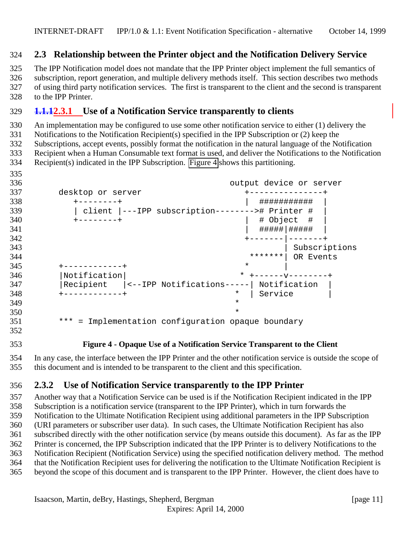#### <span id="page-10-0"></span>**2.3 Relationship between the Printer object and the Notification Delivery Service**

 The IPP Notification model does not mandate that the IPP Printer object implement the full semantics of subscription, report generation, and multiple delivery methods itself. This section describes two methods of using third party notification services. The first is transparent to the client and the second is transparent to the IPP Printer.

#### **1.1.12.3.1 Use of a Notification Service transparently to clients**

An implementation may be configured to use some other notification service to either (1) delivery the

Notifications to the Notification Recipient(s) specified in the IPP Subscription or (2) keep the

 Subscriptions, accept events, possibly format the notification in the natural language of the Notification Recipient when a Human Consumable text format is used, and deliver the Notifications to the Notification

Recipient(s) indicated in the IPP Subscription. Figure 4 shows this partitioning.

- output device or server desktop or server +---------------+ +--------+ | ########### | | client |---IPP subscription--------># Printer # | +--------+ | # Object # | | #####|##### | +-------|-------+ 343 | Subscriptions \*\*\*\*\*\*\*| OR Events +-----------+ \* \* |Notification| \* +------v--------+ |Recipient |<--IPP Notifications-----| Notification | +------------+ \* | Service | \* \* \*\*\* = Implementation configuration opaque boundary
- 

**Figure 4 - Opaque Use of a Notification Service Transparent to the Client**

 In any case, the interface between the IPP Printer and the other notification service is outside the scope of this document and is intended to be transparent to the client and this specification.

### **2.3.2 Use of Notification Service transparently to the IPP Printer**

 Another way that a Notification Service can be used is if the Notification Recipient indicated in the IPP Subscription is a notification service (transparent to the IPP Printer), which in turn forwards the Notification to the Ultimate Notification Recipient using additional parameters in the IPP Subscription (URI parameters or subscriber user data). In such cases, the Ultimate Notification Recipient has also subscribed directly with the other notification service (by means outside this document). As far as the IPP Printer is concerned, the IPP Subscription indicated that the IPP Printer is to delivery Notifications to the Notification Recipient (Notification Service) using the specified notification delivery method. The method that the Notification Recipient uses for delivering the notification to the Ultimate Notification Recipient is beyond the scope of this document and is transparent to the IPP Printer. However, the client does have to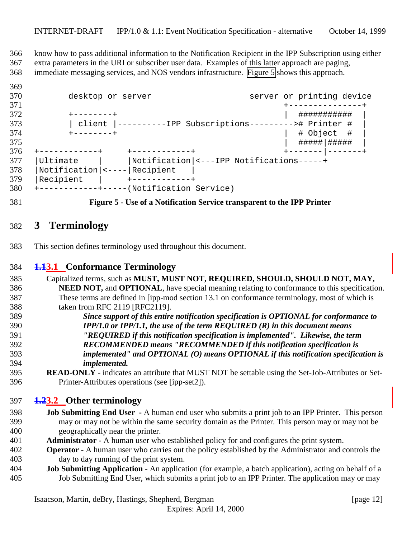<span id="page-11-0"></span> know how to pass additional information to the Notification Recipient in the IPP Subscription using either extra parameters in the URI or subscriber user data. Examples of this latter approach are paging, immediate messaging services, and NOS vendors infrastructure. Figure 5 shows this approach.

#### 370 desktop or server server server or printing device +---------------+ +--------+ | ########### | | client |----------IPP Subscriptions---------># Printer # | +--------+ | # Object # | | #####|##### | +------------+ +------------+ +-------|-------+ |Ultimate | |Notification|<---IPP Notifications-----+ |Notification|<----|Recipient | 379 | Recipient | +------------+ +------------+-----(Notification Service)

**Figure 5 - Use of a Notification Service transparent to the IPP Printer**

# **3 Terminology**

This section defines terminology used throughout this document.

### **1.13.1 Conformance Terminology**

- Capitalized terms, such as **MUST, MUST NOT, REQUIRED, SHOULD, SHOULD NOT, MAY, NEED NOT,** and **OPTIONAL**, have special meaning relating to conformance to this specification. These terms are defined in [ipp-mod section 13.1 on conformance terminology, most of which is taken from RFC 2119 [RFC2119].
- *Since support of this entire notification specification is OPTIONAL for conformance to IPP/1.0 or IPP/1.1, the use of the term REQUIRED (R) in this document means "REQUIRED if this notification specification is implemented". Likewise, the term RECOMMENDED means "RECOMMENDED if this notification specification is implemented" and OPTIONAL (O) means OPTIONAL if this notification specification is implemented.*
- **READ-ONLY** indicates an attribute that MUST NOT be settable using the Set-Job-Attributes or Set-Printer-Attributes operations (see [ipp-set2]).

### **1.23.2 Other terminology**

- **Job Submitting End User** A human end user who submits a print job to an IPP Printer. This person may or may not be within the same security domain as the Printer. This person may or may not be geographically near the printer.
- **Administrator**  A human user who established policy for and configures the print system.
- **Operator** A human user who carries out the policy established by the Administrator and controls the day to day running of the print system.
- **Job Submitting Application** An application (for example, a batch application), acting on behalf of a Job Submitting End User, which submits a print job to an IPP Printer. The application may or may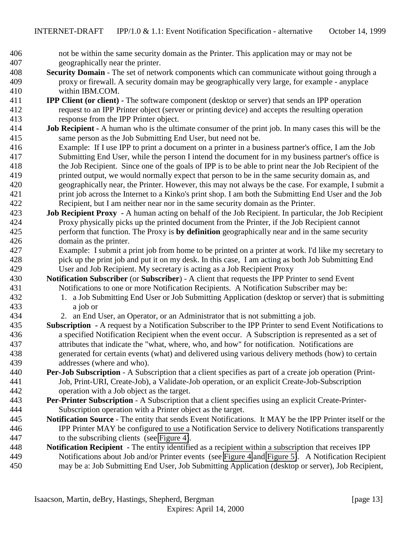- not be within the same security domain as the Printer. This application may or may not be geographically near the printer.
- **Security Domain** The set of network components which can communicate without going through a proxy or firewall. A security domain may be geographically very large, for example - anyplace within IBM.COM.
- **IPP Client (or client)** The software component (desktop or server) that sends an IPP operation request to an IPP Printer object (server or printing device) and accepts the resulting operation response from the IPP Printer object.
- **Job Recipient** A human who is the ultimate consumer of the print job. In many cases this will be the same person as the Job Submitting End User, but need not be.
- Example: If I use IPP to print a document on a printer in a business partner's office, I am the Job Submitting End User, while the person I intend the document for in my business partner's office is the Job Recipient. Since one of the goals of IPP is to be able to print near the Job Recipient of the printed output, we would normally expect that person to be in the same security domain as, and geographically near, the Printer. However, this may not always be the case. For example, I submit a print job across the Internet to a Kinko's print shop. I am both the Submitting End User and the Job Recipient, but I am neither near nor in the same security domain as the Printer.
- **Job Recipient Proxy** A human acting on behalf of the Job Recipient. In particular, the Job Recipient Proxy physically picks up the printed document from the Printer, if the Job Recipient cannot perform that function. The Proxy is **by definition** geographically near and in the same security domain as the printer.
- Example: I submit a print job from home to be printed on a printer at work. I'd like my secretary to pick up the print job and put it on my desk. In this case, I am acting as both Job Submitting End User and Job Recipient. My secretary is acting as a Job Recipient Proxy
- **Notification Subscriber** (or **Subscriber**) A client that requests the IPP Printer to send Event Notifications to one or more Notification Recipients. A Notification Subscriber may be:
- 1. a Job Submitting End User or Job Submitting Application (desktop or server) that is submitting a job or
- 2. an End User, an Operator, or an Administrator that is not submitting a job.
- **Subscription** A request by a Notification Subscriber to the IPP Printer to send Event Notifications to a specified Notification Recipient when the event occur. A Subscription is represented as a set of attributes that indicate the "what, where, who, and how" for notification. Notifications are generated for certain events (what) and delivered using various delivery methods (how) to certain addresses (where and who).
- **Per-Job Subscription** A Subscription that a client specifies as part of a create job operation (Print- Job, Print-URI, Create-Job), a Validate-Job operation, or an explicit Create-Job-Subscription operation with a Job object as the target.
- **Per-Printer Subscription** A Subscription that a client specifies using an explicit Create-Printer-Subscription operation with a Printer object as the target.
- **Notification Source** The entity that sends Event Notifications. It MAY be the IPP Printer itself or the IPP Printer MAY be configured to use a Notification Service to delivery Notifications transparently to the subscribing clients (see [Figure 4\)](#page-10-0).
- **Notification Recipient** The entity identified as a recipient within a subscription that receives IPP Notifications about Job and/or Printer events (see [Figure 4](#page-10-0) and [Figure 5\)](#page-11-0). A Notification Recipient may be a: Job Submitting End User, Job Submitting Application (desktop or server), Job Recipient,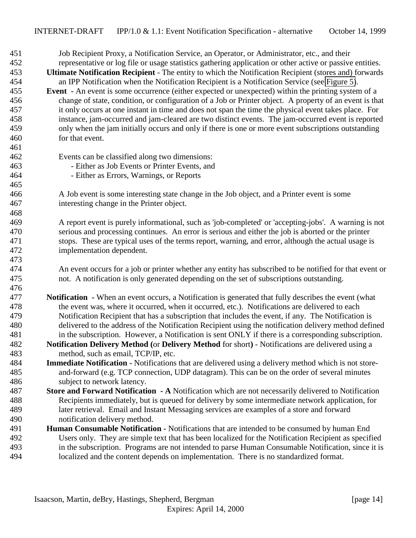| 451 | Job Recipient Proxy, a Notification Service, an Operator, or Administrator, etc., and their                  |
|-----|--------------------------------------------------------------------------------------------------------------|
| 452 | representative or log file or usage statistics gathering application or other active or passive entities.    |
| 453 | Ultimate Notification Recipient - The entity to which the Notification Recipient (stores and) forwards       |
| 454 | an IPP Notification when the Notification Recipient is a Notification Service (see Figure 5).                |
| 455 | <b>Event</b> - An event is some occurrence (either expected or unexpected) within the printing system of a   |
| 456 | change of state, condition, or configuration of a Job or Printer object. A property of an event is that      |
| 457 | it only occurs at one instant in time and does not span the time the physical event takes place. For         |
| 458 | instance, jam-occurred and jam-cleared are two distinct events. The jam-occurred event is reported           |
| 459 | only when the jam initially occurs and only if there is one or more event subscriptions outstanding          |
| 460 | for that event.                                                                                              |
| 461 |                                                                                                              |
| 462 | Events can be classified along two dimensions:                                                               |
| 463 | - Either as Job Events or Printer Events, and                                                                |
| 464 | - Either as Errors, Warnings, or Reports                                                                     |
| 465 |                                                                                                              |
| 466 | A Job event is some interesting state change in the Job object, and a Printer event is some                  |
| 467 | interesting change in the Printer object.                                                                    |
| 468 |                                                                                                              |
| 469 | A report event is purely informational, such as 'job-completed' or 'accepting-jobs'. A warning is not        |
| 470 | serious and processing continues. An error is serious and either the job is aborted or the printer           |
| 471 | stops. These are typical uses of the terms report, warning, and error, although the actual usage is          |
| 472 | implementation dependent.                                                                                    |
| 473 |                                                                                                              |
| 474 | An event occurs for a job or printer whether any entity has subscribed to be notified for that event or      |
| 475 | not. A notification is only generated depending on the set of subscriptions outstanding.                     |
| 476 |                                                                                                              |
| 477 | <b>Notification</b> - When an event occurs, a Notification is generated that fully describes the event (what |
| 478 | the event was, where it occurred, when it occurred, etc.). Notifications are delivered to each               |
| 479 | Notification Recipient that has a subscription that includes the event, if any. The Notification is          |
| 480 | delivered to the address of the Notification Recipient using the notification delivery method defined        |
| 481 | in the subscription. However, a Notification is sent ONLY if there is a corresponding subscription.          |
| 482 | Notification Delivery Method (or Delivery Method for short) - Notifications are delivered using a            |
| 483 | method, such as email, TCP/IP, etc.                                                                          |
| 484 | <b>Immediate Notification -</b> Notifications that are delivered using a delivery method which is not store- |
| 485 | and-forward (e.g. TCP connection, UDP datagram). This can be on the order of several minutes                 |
| 486 | subject to network latency.                                                                                  |
| 487 | Store and Forward Notification - A Notification which are not necessarily delivered to Notification          |
| 488 | Recipients immediately, but is queued for delivery by some intermediate network application, for             |
| 489 | later retrieval. Email and Instant Messaging services are examples of a store and forward                    |
| 490 | notification delivery method.                                                                                |
| 491 | Human Consumable Notification - Notifications that are intended to be consumed by human End                  |
| 492 | Users only. They are simple text that has been localized for the Notification Recipient as specified         |
| 493 | in the subscription. Programs are not intended to parse Human Consumable Notification, since it is           |
| 494 | localized and the content depends on implementation. There is no standardized format.                        |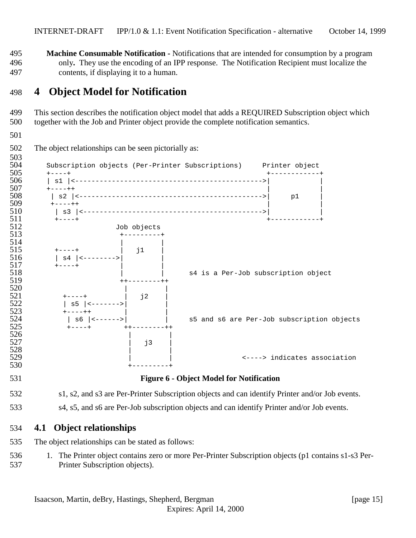<span id="page-14-0"></span> **Machine Consumable Notification -** Notifications that are intended for consumption by a program only**.** They use the encoding of an IPP response. The Notification Recipient must localize the contents, if displaying it to a human.

## **4 Object Model for Notification**

 This section describes the notification object model that adds a REQUIRED Subscription object which together with the Job and Printer object provide the complete notification semantics.

The object relationships can be seen pictorially as:



#### s1, s2, and s3 are Per-Printer Subscription objects and can identify Printer and/or Job events.

s4, s5, and s6 are Per-Job subscription objects and can identify Printer and/or Job events.

### **4.1 Object relationships**

The object relationships can be stated as follows:

 1. The Printer object contains zero or more Per-Printer Subscription objects (p1 contains s1-s3 Per-Printer Subscription objects).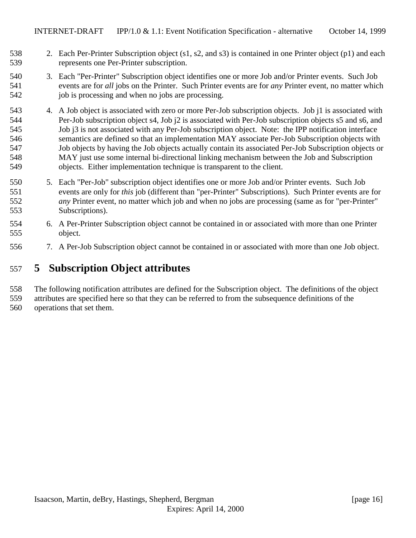- <span id="page-15-0"></span> 2. Each Per-Printer Subscription object (s1, s2, and s3) is contained in one Printer object (p1) and each represents one Per-Printer subscription.
- 3. Each "Per-Printer" Subscription object identifies one or more Job and/or Printer events. Such Job events are for *all* jobs on the Printer. Such Printer events are for *any* Printer event, no matter which 542 job is processing and when no jobs are processing.
- 4. A Job object is associated with zero or more Per-Job subscription objects. Job j1 is associated with Per-Job subscription object s4, Job j2 is associated with Per-Job subscription objects s5 and s6, and Job j3 is not associated with any Per-Job subscription object. Note: the IPP notification interface semantics are defined so that an implementation MAY associate Per-Job Subscription objects with Job objects by having the Job objects actually contain its associated Per-Job Subscription objects or MAY just use some internal bi-directional linking mechanism between the Job and Subscription objects. Either implementation technique is transparent to the client.
- 5. Each "Per-Job" subscription object identifies one or more Job and/or Printer events. Such Job events are only for *this* job (different than "per-Printer" Subscriptions). Such Printer events are for *any* Printer event, no matter which job and when no jobs are processing (same as for "per-Printer" Subscriptions).
- 6. A Per-Printer Subscription object cannot be contained in or associated with more than one Printer object.
- 7. A Per-Job Subscription object cannot be contained in or associated with more than one Job object.

# **5 Subscription Object attributes**

The following notification attributes are defined for the Subscription object. The definitions of the object

 attributes are specified here so that they can be referred to from the subsequence definitions of the operations that set them.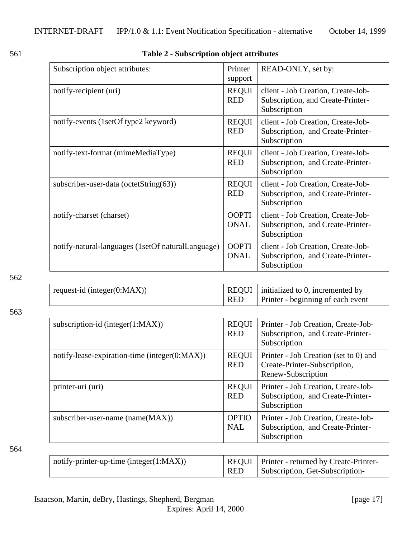<span id="page-16-0"></span>

## 561 **Table 2 - Subscription object attributes**

| Subscription object attributes:                   | Printer<br>support          | READ-ONLY, set by:                                                                      |
|---------------------------------------------------|-----------------------------|-----------------------------------------------------------------------------------------|
| notify-recipient (uri)                            | <b>REQUI</b><br><b>RED</b>  | client - Job Creation, Create-Job-<br>Subscription, and Create-Printer-<br>Subscription |
| notify-events (1setOf type2 keyword)              | <b>REQUI</b><br><b>RED</b>  | client - Job Creation, Create-Job-<br>Subscription, and Create-Printer-<br>Subscription |
| notify-text-format (mimeMediaType)                | <b>REQUI</b><br><b>RED</b>  | client - Job Creation, Create-Job-<br>Subscription, and Create-Printer-<br>Subscription |
| subscriber-user-data (octetString(63))            | <b>REQUI</b><br><b>RED</b>  | client - Job Creation, Create-Job-<br>Subscription, and Create-Printer-<br>Subscription |
| notify-charset (charset)                          | <b>OOPTI</b><br><b>ONAL</b> | client - Job Creation, Create-Job-<br>Subscription, and Create-Printer-<br>Subscription |
| notify-natural-languages (1setOf naturalLanguage) | <b>OOPTI</b><br><b>ONAL</b> | client - Job Creation, Create-Job-<br>Subscription, and Create-Printer-<br>Subscription |

#### 562

| request-id (integer( $0$ :MAX)) |            | $REQUI$   initialized to 0, incremented by |
|---------------------------------|------------|--------------------------------------------|
|                                 | <b>RED</b> | Printer - beginning of each event          |

#### 563

| subscription-id (integer $(1:MAX)$ )          | <b>REQUI</b><br><b>RED</b> | Printer - Job Creation, Create-Job-<br>Subscription, and Create-Printer-<br>Subscription    |
|-----------------------------------------------|----------------------------|---------------------------------------------------------------------------------------------|
| notify-lease-expiration-time (integer(0:MAX)) | <b>REQUI</b><br><b>RED</b> | Printer - Job Creation (set to 0) and<br>Create-Printer-Subscription,<br>Renew-Subscription |
| printer-uri (uri)                             | <b>REQUI</b><br><b>RED</b> | Printer - Job Creation, Create-Job-<br>Subscription, and Create-Printer-<br>Subscription    |
| subscriber-user-name (name(MAX))              | <b>OPTIO</b><br><b>NAL</b> | Printer - Job Creation, Create-Job-<br>Subscription, and Create-Printer-<br>Subscription    |

#### 564

| $\mid$ notify-printer-up-time (integer(1:MAX)) |            | REQUI   Printer - returned by Create-Printer- |
|------------------------------------------------|------------|-----------------------------------------------|
|                                                | <b>RED</b> | Subscription, Get-Subscription-               |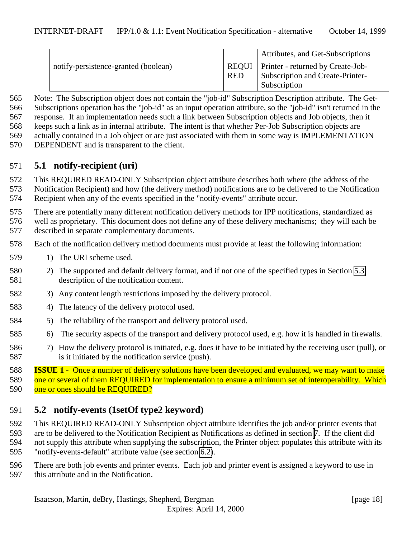<span id="page-17-0"></span>

|                                      |                     | Attributes, and Get-Subscriptions                                                            |
|--------------------------------------|---------------------|----------------------------------------------------------------------------------------------|
| notify-persistence-granted (boolean) | REOUI<br><b>RED</b> | <b>Printer</b> - returned by Create-Job-<br>Subscription and Create-Printer-<br>Subscription |

 Note: The Subscription object does not contain the "job-id" Subscription Description attribute. The Get- Subscriptions operation has the "job-id" as an input operation attribute, so the "job-id" isn't returned in the response. If an implementation needs such a link between Subscription objects and Job objects, then it keeps such a link as in internal attribute. The intent is that whether Per-Job Subscription objects are actually contained in a Job object or are just associated with them in some way is IMPLEMENTATION

DEPENDENT and is transparent to the client.

## **5.1 notify-recipient (uri)**

This REQUIRED READ-ONLY Subscription object attribute describes both where (the address of the

 Notification Recipient) and how (the delivery method) notifications are to be delivered to the Notification Recipient when any of the events specified in the "notify-events" attribute occur.

There are potentially many different notification delivery methods for IPP notifications, standardized as

 well as proprietary. This document does not define any of these delivery mechanisms; they will each be described in separate complementary documents.

Each of the notification delivery method documents must provide at least the following information:

- 579 1) The URI scheme used.
- 2) The supported and default delivery format, and if not one of the specified types in Section [5.3,](#page-20-0) description of the notification content.
- 3) Any content length restrictions imposed by the delivery protocol.
- 4) The latency of the delivery protocol used.
- 5) The reliability of the transport and delivery protocol used.
- 6) The security aspects of the transport and delivery protocol used, e.g. how it is handled in firewalls.
- 7) How the delivery protocol is initiated, e.g. does it have to be initiated by the receiving user (pull), or is it initiated by the notification service (push).

 **ISSUE 1** - Once a number of delivery solutions have been developed and evaluated, we may want to make 589 one or several of them REQUIRED for implementation to ensure a minimum set of interoperability. Which 590 one or ones should be REQUIRED?

# **5.2 notify-events (1setOf type2 keyword)**

 This REQUIRED READ-ONLY Subscription object attribute identifies the job and/or printer events that are to be delivered to the Notification Recipient as Notifications as defined in section [7](#page-26-0). If the client did not supply this attribute when supplying the subscription, the Printer object populates this attribute with its "notify-events-default" attribute value (see section [6.2\)](#page-23-0).

There are both job events and printer events. Each job and printer event is assigned a keyword to use in

this attribute and in the Notification.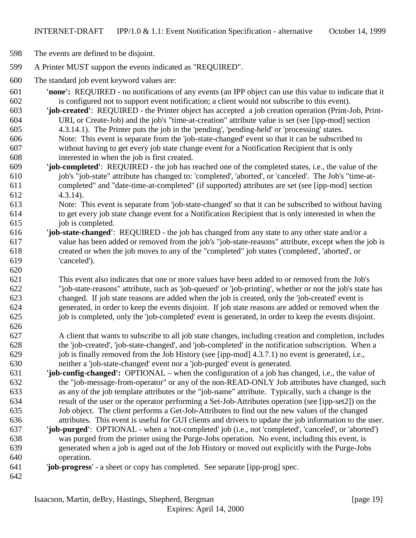The events are defined to be disjoint.

- A Printer MUST support the events indicated as "REQUIRED".
- The standard job event keyword values are:
- **'none':** REQUIRED no notifications of any events (an IPP object can use this value to indicate that it is configured not to support event notification; a client would not subscribe to this event).
- **'job-created'**: REQUIRED the Printer object has accepted a job creation operation (Print-Job, Print-URI, or Create-Job) and the job's "time-at-creation" attribute value is set (see [ipp-mod] section
- 4.3.14.1). The Printer puts the job in the 'pending', 'pending-held' or 'processing' states. Note: This event is separate from the 'job-state-changed' event so that it can be subscribed to without having to get every job state change event for a Notification Recipient that is only interested in when the job is first created.
- **'job-completed'**: REQUIRED the job has reached one of the completed states, i.e., the value of the job's "job-state" attribute has changed to: 'completed', 'aborted', or 'canceled'. The Job's "time-at- completed" and "date-time-at-completed" (if supported) attributes are set (see [ipp-mod] section 4.3.14).
- Note: This event is separate from 'job-state-changed' so that it can be subscribed to without having to get every job state change event for a Notification Recipient that is only interested in when the job is completed.
- **'job-state-changed'**: REQUIRED the job has changed from any state to any other state and/or a value has been added or removed from the job's "job-state-reasons" attribute, except when the job is created or when the job moves to any of the "completed" job states ('completed', 'aborted', or 'canceled').
- This event also indicates that one or more values have been added to or removed from the Job's "job-state-reasons" attribute, such as 'job-queued' or 'job-printing', whether or not the job's state has changed. If job state reasons are added when the job is created, only the 'job-created' event is generated, in order to keep the events disjoint. If job state reasons are added or removed when the job is completed, only the 'job-completed' event is generated, in order to keep the events disjoint.
- A client that wants to subscribe to all job state changes, including creation and completion, includes the 'job-created', 'job-state-changed', and 'job-completed' in the notification subscription. When a job is finally removed from the Job History (see [ipp-mod] 4.3.7.1) no event is generated, i.e., neither a 'job-state-changed' event nor a 'job-purged' event is generated.
- **'job-config-changed':** OPTIONAL when the configuration of a job has changed, i.e., the value of the "job-message-from-operator" or any of the non-READ-ONLY Job attributes have changed, such as any of the job template attributes or the "job-name" attribute. Typically, such a change is the result of the user or the operator performing a Set-Job-Attributes operation (see [ipp-set2]) on the Job object. The client performs a Get-Job-Attributes to find out the new values of the changed attributes. This event is useful for GUI clients and drivers to update the job information to the user.
- **'job-purged'**: OPTIONAL when a 'not-completed' job (i.e., not 'completed', 'canceled', or 'aborted') was purged from the printer using the Purge-Jobs operation. No event, including this event, is generated when a job is aged out of the Job History or moved out explicitly with the Purge-Jobs operation.
- '**job-progress**' a sheet or copy has completed. See separate [ipp-prog] spec.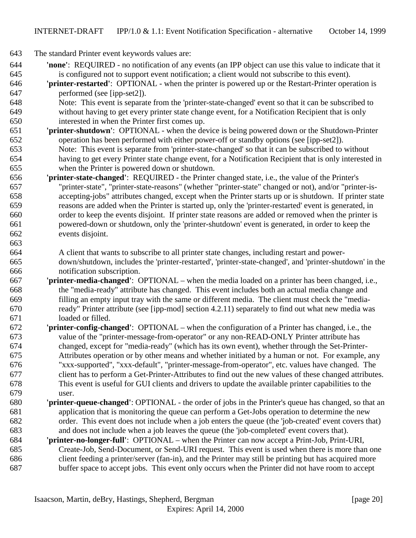The standard Printer event keywords values are:

- **'none'**: REQUIRED no notification of any events (an IPP object can use this value to indicate that it is configured not to support event notification; a client would not subscribe to this event).
- **'printer-restarted'**: OPTIONAL when the printer is powered up or the Restart-Printer operation is performed (see [ipp-set2]).
- Note: This event is separate from the 'printer-state-changed' event so that it can be subscribed to without having to get every printer state change event, for a Notification Recipient that is only interested in when the Printer first comes up.
- **'printer-shutdown'**: OPTIONAL when the device is being powered down or the Shutdown-Printer operation has been performed with either power-off or standby options (see [ipp-set2]). Note: This event is separate from 'printer-state-changed' so that it can be subscribed to without having to get every Printer state change event, for a Notification Recipient that is only interested in when the Printer is powered down or shutdown.
- **'printer-state-changed'**: REQUIRED the Printer changed state, i.e., the value of the Printer's "printer-state", "printer-state-reasons" (whether "printer-state" changed or not), and/or "printer-is- accepting-jobs" attributes changed, except when the Printer starts up or is shutdown. If printer state reasons are added when the Printer is started up, only the 'printer-restarted' event is generated, in order to keep the events disjoint. If printer state reasons are added or removed when the printer is powered-down or shutdown, only the 'printer-shutdown' event is generated, in order to keep the events disjoint.
- A client that wants to subscribe to all printer state changes, including restart and power- down/shutdown, includes the 'printer-restarted', 'printer-state-changed', and 'printer-shutdown' in the notification subscription.
- **'printer-media-changed'**:OPTIONAL when the media loaded on a printer has been changed, i.e., the "media-ready" attribute has changed. This event includes both an actual media change and filling an empty input tray with the same or different media. The client must check the "media- ready" Printer attribute (see [ipp-mod] section 4.2.11) separately to find out what new media was loaded or filled.
- **'printer-config-changed'**:OPTIONAL when the configuration of a Printer has changed, i.e., the value of the "printer-message-from-operator" or any non-READ-ONLY Printer attribute has changed, except for "media-ready" (which has its own event), whether through the Set-Printer- Attributes operation or by other means and whether initiated by a human or not. For example, any "xxx-supported", "xxx-default", "printer-message-from-operator", etc. values have changed. The client has to perform a Get-Printer-Attributes to find out the new values of these changed attributes. This event is useful for GUI clients and drivers to update the available printer capabilities to the user.
- **'printer-queue-changed'**: OPTIONAL the order of jobs in the Printer's queue has changed, so that an application that is monitoring the queue can perform a Get-Jobs operation to determine the new order. This event does not include when a job enters the queue (the 'job-created' event covers that) and does not include when a job leaves the queue (the 'job-completed' event covers that).
- **'printer-no-longer-full'**: OPTIONAL when the Printer can now accept a Print-Job, Print-URI, Create-Job, Send-Document, or Send-URI request. This event is used when there is more than one client feeding a printer/server (fan-in), and the Printer may still be printing but has acquired more buffer space to accept jobs. This event only occurs when the Printer did not have room to accept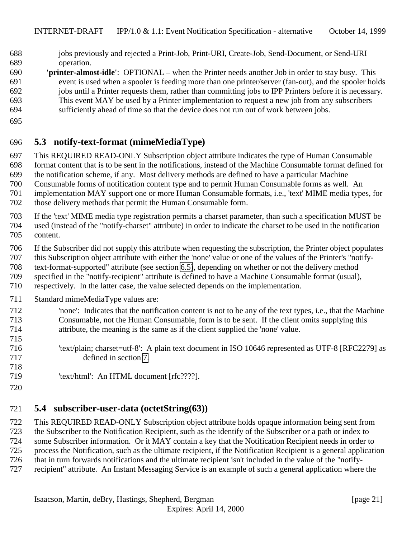- <span id="page-20-0"></span> jobs previously and rejected a Print-Job, Print-URI, Create-Job, Send-Document, or Send-URI operation.
- **'printer-almost-idle'**:OPTIONAL when the Printer needs another Job in order to stay busy. This event is used when a spooler is feeding more than one printer/server (fan-out), and the spooler holds jobs until a Printer requests them, rather than committing jobs to IPP Printers before it is necessary. This event MAY be used by a Printer implementation to request a new job from any subscribers
- sufficiently ahead of time so that the device does not run out of work between jobs.
- 

## **5.3 notify-text-format (mimeMediaType)**

 This REQUIRED READ-ONLY Subscription object attribute indicates the type of Human Consumable format content that is to be sent in the notifications, instead of the Machine Consumable format defined for

the notification scheme, if any. Most delivery methods are defined to have a particular Machine

Consumable forms of notification content type and to permit Human Consumable forms as well. An

implementation MAY support one or more Human Consumable formats, i.e., 'text' MIME media types, for

- those delivery methods that permit the Human Consumable form.
- If the 'text' MIME media type registration permits a charset parameter, than such a specification MUST be used (instead of the "notify-charset" attribute) in order to indicate the charset to be used in the notification content.
- If the Subscriber did not supply this attribute when requesting the subscription, the Printer object populates
- this Subscription object attribute with either the 'none' value or one of the values of the Printer's "notify-
- text-format-supported" attribute (see section [6.5\)](#page-24-0), depending on whether or not the delivery method
- specified in the "notify-recipient" attribute is defined to have a Machine Consumable format (usual),
- respectively. In the latter case, the value selected depends on the implementation.
- Standard mimeMediaType values are:
- 'none': Indicates that the notification content is not to be any of the text types, i.e., that the Machine Consumable, not the Human Consumable, form is to be sent. If the client omits supplying this attribute, the meaning is the same as if the client supplied the 'none' value.
- 'text/plain; charset=utf-8': A plain text document in ISO 10646 represented as UTF-8 [RFC2279] as
- defined in section [7.](#page-26-0)
- 'text/html': An HTML document [rfc????].
- 

# **5.4 subscriber-user-data (octetString(63))**

 This REQUIRED READ-ONLY Subscription object attribute holds opaque information being sent from the Subscriber to the Notification Recipient, such as the identify of the Subscriber or a path or index to some Subscriber information. Or it MAY contain a key that the Notification Recipient needs in order to process the Notification, such as the ultimate recipient, if the Notification Recipient is a general application that in turn forwards notifications and the ultimate recipient isn't included in the value of the "notify-recipient" attribute. An Instant Messaging Service is an example of such a general application where the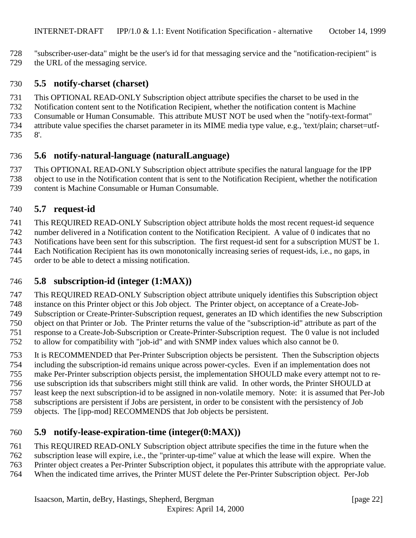- <span id="page-21-0"></span>"subscriber-user-data" might be the user's id for that messaging service and the "notification-recipient" is
- the URL of the messaging service.

## **5.5 notify-charset (charset)**

- This OPTIONAL READ-ONLY Subscription object attribute specifies the charset to be used in the
- Notification content sent to the Notification Recipient, whether the notification content is Machine
- Consumable or Human Consumable. This attribute MUST NOT be used when the "notify-text-format"
- attribute value specifies the charset parameter in its MIME media type value, e.g., 'text/plain; charset=utf-
- 8'.

# **5.6 notify-natural-language (naturalLanguage)**

 This OPTIONAL READ-ONLY Subscription object attribute specifies the natural language for the IPP object to use in the Notification content that is sent to the Notification Recipient, whether the notification content is Machine Consumable or Human Consumable.

# **5.7 request-id**

This REQUIRED READ-ONLY Subscription object attribute holds the most recent request-id sequence

number delivered in a Notification content to the Notification Recipient. A value of 0 indicates that no

- Notifications have been sent for this subscription. The first request-id sent for a subscription MUST be 1.
- Each Notification Recipient has its own monotonically increasing series of request-ids, i.e., no gaps, in
- order to be able to detect a missing notification.

# **5.8 subscription-id (integer (1:MAX))**

 This REQUIRED READ-ONLY Subscription object attribute uniquely identifies this Subscription object instance on this Printer object or this Job object. The Printer object, on acceptance of a Create-Job- Subscription or Create-Printer-Subscription request, generates an ID which identifies the new Subscription object on that Printer or Job. The Printer returns the value of the "subscription-id" attribute as part of the response to a Create-Job-Subscription or Create-Printer-Subscription request. The 0 value is not included to allow for compatibility with "job-id" and with SNMP index values which also cannot be 0.

- It is RECOMMENDED that Per-Printer Subscription objects be persistent. Then the Subscription objects including the subscription-id remains unique across power-cycles. Even if an implementation does not
- make Per-Printer subscription objects persist, the implementation SHOULD make every attempt not to re-
- use subscription ids that subscribers might still think are valid. In other words, the Printer SHOULD at
- least keep the next subscription-id to be assigned in non-volatile memory. Note: it is assumed that Per-Job
- subscriptions are persistent if Jobs are persistent, in order to be consistent with the persistency of Job
- objects. The [ipp-mod] RECOMMENDS that Job objects be persistent.

# **5.9 notify-lease-expiration-time (integer(0:MAX))**

This REQUIRED READ-ONLY Subscription object attribute specifies the time in the future when the

- subscription lease will expire, i.e., the "printer-up-time" value at which the lease will expire. When the
- Printer object creates a Per-Printer Subscription object, it populates this attribute with the appropriate value.
- When the indicated time arrives, the Printer MUST delete the Per-Printer Subscription object. Per-Job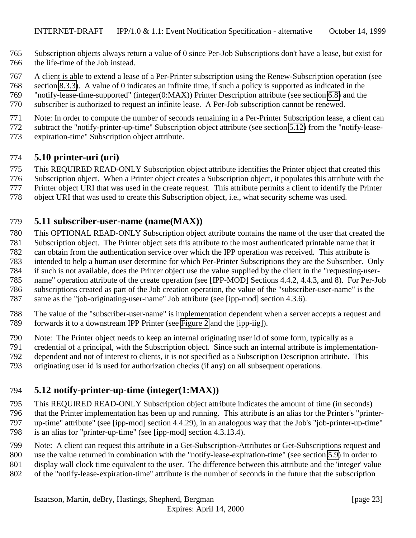- <span id="page-22-0"></span> Subscription objects always return a value of 0 since Per-Job Subscriptions don't have a lease, but exist for the life-time of the Job instead.
- A client is able to extend a lease of a Per-Printer subscription using the Renew-Subscription operation (see
- section [8.3.3\)](#page-38-0). A value of 0 indicates an infinite time, if such a policy is supported as indicated in the
- "notify-lease-time-supported" (integer(0:MAX)) Printer Description attribute (see section [6.8\)](#page-25-0) and the
- subscriber is authorized to request an infinite lease. A Per-Job subscription cannot be renewed.
- Note: In order to compute the number of seconds remaining in a Per-Printer Subscription lease, a client can
- subtract the "notify-printer-up-time" Subscription object attribute (see section 5.12) from the "notify-lease-
- expiration-time" Subscription object attribute.

## **5.10 printer-uri (uri)**

- This REQUIRED READ-ONLY Subscription object attribute identifies the Printer object that created this
- Subscription object. When a Printer object creates a Subscription object, it populates this attribute with the
- Printer object URI that was used in the create request. This attribute permits a client to identify the Printer
- object URI that was used to create this Subscription object, i.e., what security scheme was used.

## **5.11 subscriber-user-name (name(MAX))**

- This OPTIONAL READ-ONLY Subscription object attribute contains the name of the user that created the
- Subscription object. The Printer object sets this attribute to the most authenticated printable name that it
- can obtain from the authentication service over which the IPP operation was received. This attribute is
- intended to help a human user determine for which Per-Printer Subscriptions they are the Subscriber. Only
- if such is not available, does the Printer object use the value supplied by the client in the "requesting-user-
- name" operation attribute of the create operation (see [IPP-MOD] Sections 4.4.2, 4.4.3, and 8). For Per-Job subscriptions created as part of the Job creation operation, the value of the "subscriber-user-name" is the
- same as the "job-originating-user-name" Job attribute (see [ipp-mod] section 4.3.6).
- 
- 788 The value of the "subscriber-user-name" is implementation dependent when a server accepts a request and<br>789 forwards it to a downstream IPP Printer (see Figure 2 and the [ipp-iig]). forwards it to a downstream IPP Printer (see [Figure 2](#page-9-0) and the [ipp-iig]).
- Note: The Printer object needs to keep an internal originating user id of some form, typically as a
- credential of a principal, with the Subscription object. Since such an internal attribute is implementation-
- dependent and not of interest to clients, it is not specified as a Subscription Description attribute. This
- originating user id is used for authorization checks (if any) on all subsequent operations.

# **5.12 notify-printer-up-time (integer(1:MAX))**

- This REQUIRED READ-ONLY Subscription object attribute indicates the amount of time (in seconds) that the Printer implementation has been up and running. This attribute is an alias for the Printer's "printer- up-time" attribute" (see [ipp-mod] section 4.4.29), in an analogous way that the Job's "job-printer-up-time" is an alias for "printer-up-time" (see [ipp-mod] section 4.3.13.4).
- Note: A client can request this attribute in a Get-Subscription-Attributes or Get-Subscriptions request and
- use the value returned in combination with the "notify-lease-expiration-time" (see section [5.9\)](#page-21-0) in order to
- display wall clock time equivalent to the user. The difference between this attribute and the 'integer' value
- of the "notify-lease-expiration-time" attribute is the number of seconds in the future that the subscription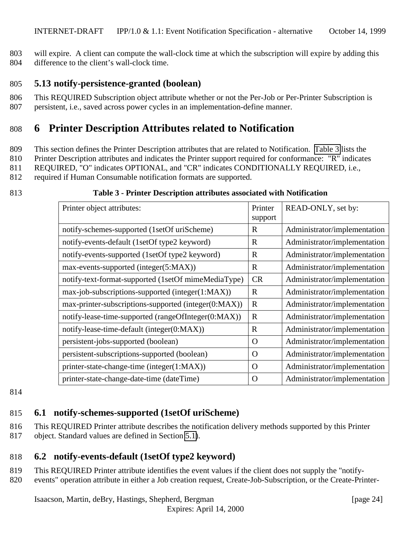<span id="page-23-0"></span>803 will expire. A client can compute the wall-clock time at which the subscription will expire by adding this 804 difference to the client's wall-clock time.

#### 805 **5.13 notify-persistence-granted (boolean)**

806 This REQUIRED Subscription object attribute whether or not the Per-Job or Per-Printer Subscription is 807 persistent, i.e., saved across power cycles in an implementation-define manner.

# 808 **6 Printer Description Attributes related to Notification**

- 809 This section defines the Printer Description attributes that are related to Notification. Table 3 lists the
- 810 Printer Description attributes and indicates the Printer support required for conformance: "R" indicates
- 811 REQUIRED, "O" indicates OPTIONAL, and "CR" indicates CONDITIONALLY REQUIRED, i.e.,
- 812 required if Human Consumable notification formats are supported.

#### 813 **Table 3 - Printer Description attributes associated with Notification**

| Printer object attributes:                           | Printer     | READ-ONLY, set by:           |
|------------------------------------------------------|-------------|------------------------------|
|                                                      | support     |                              |
| notify-schemes-supported (1setOf uriScheme)          | $\mathbf R$ | Administrator/implementation |
| notify-events-default (1setOf type2 keyword)         | $\mathbf R$ | Administrator/implementation |
| notify-events-supported (1setOf type2 keyword)       | R           | Administrator/implementation |
| max-events-supported (integer(5:MAX))                | R           | Administrator/implementation |
| notify-text-format-supported (1setOf mimeMediaType)  | CR          | Administrator/implementation |
| max-job-subscriptions-supported (integer(1:MAX))     | R           | Administrator/implementation |
| max-printer-subscriptions-supported (integer(0:MAX)) | $\mathbf R$ | Administrator/implementation |
| notify-lease-time-supported (rangeOfInteger(0:MAX))  | $\mathbf R$ | Administrator/implementation |
| notify-lease-time-default (integer(0:MAX))           | $\mathbf R$ | Administrator/implementation |
| persistent-jobs-supported (boolean)                  | $\Omega$    | Administrator/implementation |
| persistent-subscriptions-supported (boolean)         | O           | Administrator/implementation |
| printer-state-change-time (integer(1:MAX))           | $\mathbf O$ | Administrator/implementation |
| printer-state-change-date-time (dateTime)            | $\mathbf O$ | Administrator/implementation |

#### 814

## 815 **6.1 notify-schemes-supported (1setOf uriScheme)**

816 This REQUIRED Printer attribute describes the notification delivery methods supported by this Printer

817 object. Standard values are defined in Section [5.1\)](#page-16-0).

## 818 **6.2 notify-events-default (1setOf type2 keyword)**

819 This REQUIRED Printer attribute identifies the event values if the client does not supply the "notify-

820 events" operation attribute in either a Job creation request, Create-Job-Subscription, or the Create-Printer-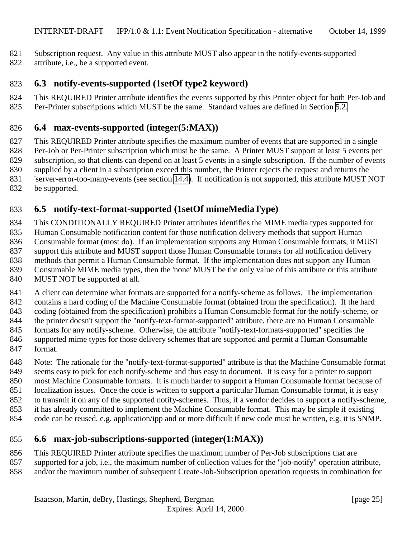- <span id="page-24-0"></span>Subscription request. Any value in this attribute MUST also appear in the notify-events-supported
- attribute, i.e., be a supported event.

## **6.3 notify-events-supported (1setOf type2 keyword)**

- This REQUIRED Printer attribute identifies the events supported by this Printer object for both Per-Job and
- 825 Per-Printer subscriptions which MUST be the same. Standard values are defined in Section [5.2.](#page-17-0)

## **6.4 max-events-supported (integer(5:MAX))**

 This REQUIRED Printer attribute specifies the maximum number of events that are supported in a single Per-Job or Per-Printer subscription which must be the same. A Printer MUST support at least 5 events per subscription, so that clients can depend on at least 5 events in a single subscription. If the number of events supplied by a client in a subscription exceed this number, the Printer rejects the request and returns the 'server-error-too-many-events (see section [14.4\)](#page-42-0). If notification is not supported, this attribute MUST NOT

be supported.

# **6.5 notify-text-format-supported (1setOf mimeMediaType)**

 This CONDITIONALLY REQUIRED Printer attributes identifies the MIME media types supported for Human Consumable notification content for those notification delivery methods that support Human Consumable format (most do). If an implementation supports any Human Consumable formats, it MUST support this attribute and MUST support those Human Consumable formats for all notification delivery methods that permit a Human Consumable format. If the implementation does not support any Human Consumable MIME media types, then the 'none' MUST be the only value of this attribute or this attribute MUST NOT be supported at all.

 A client can determine what formats are supported for a notify-scheme as follows. The implementation contains a hard coding of the Machine Consumable format (obtained from the specification). If the hard coding (obtained from the specification) prohibits a Human Consumable format for the notify-scheme, or the printer doesn't support the "notify-text-format-supported" attribute, there are no Human Consumable 845 formats for any notify-scheme. Otherwise, the attribute "notify-text-formats-supported" specifies the supported mime types for those delivery schemes that are supported and permit a Human Consumable format.

 Note: The rationale for the "notify-text-format-supported" attribute is that the Machine Consumable format seems easy to pick for each notify-scheme and thus easy to document. It is easy for a printer to support most Machine Consumable formats. It is much harder to support a Human Consumable format because of localization issues. Once the code is written to support a particular Human Consumable format, it is easy to transmit it on any of the supported notify-schemes. Thus, if a vendor decides to support a notify-scheme, it has already committed to implement the Machine Consumable format. This may be simple if existing code can be reused, e.g. application/ipp and or more difficult if new code must be written, e.g. it is SNMP.

## **6.6 max-job-subscriptions-supported (integer(1:MAX))**

- This REQUIRED Printer attribute specifies the maximum number of Per-Job subscriptions that are
- supported for a job, i.e., the maximum number of collection values for the "job-notify" operation attribute,
- and/or the maximum number of subsequent Create-Job-Subscription operation requests in combination for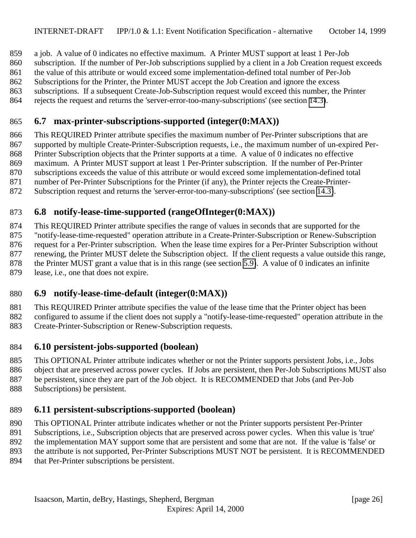<span id="page-25-0"></span>a job. A value of 0 indicates no effective maximum. A Printer MUST support at least 1 Per-Job

subscription. If the number of Per-Job subscriptions supplied by a client in a Job Creation request exceeds

the value of this attribute or would exceed some implementation-defined total number of Per-Job

Subscriptions for the Printer, the Printer MUST accept the Job Creation and ignore the excess

subscriptions. If a subsequent Create-Job-Subscription request would exceed this number, the Printer

rejects the request and returns the 'server-error-too-many-subscriptions' (see section [14.3\)](#page-42-0).

## **6.7 max-printer-subscriptions-supported (integer(0:MAX))**

 This REQUIRED Printer attribute specifies the maximum number of Per-Printer subscriptions that are supported by multiple Create-Printer-Subscription requests, i.e., the maximum number of un-expired Per-Printer Subscription objects that the Printer supports at a time. A value of 0 indicates no effective

maximum. A Printer MUST support at least 1 Per-Printer subscription. If the number of Per-Printer

subscriptions exceeds the value of this attribute or would exceed some implementation-defined total

number of Per-Printer Subscriptions for the Printer (if any), the Printer rejects the Create-Printer-

Subscription request and returns the 'server-error-too-many-subscriptions' (see section [14.3\)](#page-42-0).

## **6.8 notify-lease-time-supported (rangeOfInteger(0:MAX))**

 This REQUIRED Printer attribute specifies the range of values in seconds that are supported for the "notify-lease-time-requested" operation attribute in a Create-Printer-Subscription or Renew-Subscription request for a Per-Printer subscription. When the lease time expires for a Per-Printer Subscription without renewing, the Printer MUST delete the Subscription object. If the client requests a value outside this range, 878 the Printer MUST grant a value that is in this range (see section [5.9\)](#page-21-0). A value of 0 indicates an infinite lease. i.e., one that does not expire. lease, i.e., one that does not expire.

## **6.9 notify-lease-time-default (integer(0:MAX))**

 This REQUIRED Printer attribute specifies the value of the lease time that the Printer object has been configured to assume if the client does not supply a "notify-lease-time-requested" operation attribute in the Create-Printer-Subscription or Renew-Subscription requests.

### **6.10 persistent-jobs-supported (boolean)**

This OPTIONAL Printer attribute indicates whether or not the Printer supports persistent Jobs, i.e., Jobs

 object that are preserved across power cycles. If Jobs are persistent, then Per-Job Subscriptions MUST also be persistent, since they are part of the Job object. It is RECOMMENDED that Jobs (and Per-Job

Subscriptions) be persistent.

## **6.11 persistent-subscriptions-supported (boolean)**

This OPTIONAL Printer attribute indicates whether or not the Printer supports persistent Per-Printer

Subscriptions, i.e., Subscription objects that are preserved across power cycles. When this value is 'true'

the implementation MAY support some that are persistent and some that are not. If the value is 'false' or

the attribute is not supported, Per-Printer Subscriptions MUST NOT be persistent. It is RECOMMENDED

894 that Per-Printer subscriptions be persistent.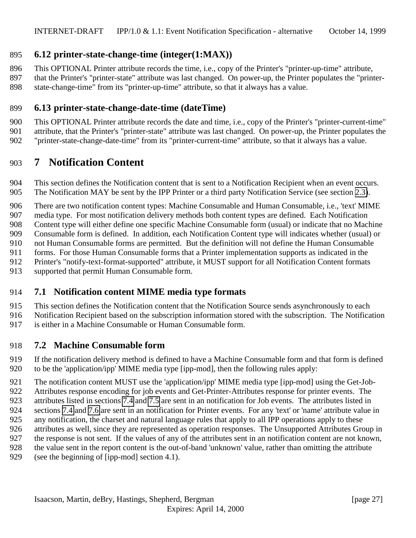## <span id="page-26-0"></span>**6.12 printer-state-change-time (integer(1:MAX))**

This OPTIONAL Printer attribute records the time, i.e., copy of the Printer's "printer-up-time" attribute,

 that the Printer's "printer-state" attribute was last changed. On power-up, the Printer populates the "printer-state-change-time" from its "printer-up-time" attribute, so that it always has a value.

## **6.13 printer-state-change-date-time (dateTime)**

 This OPTIONAL Printer attribute records the date and time, i.e., copy of the Printer's "printer-current-time" attribute, that the Printer's "printer-state" attribute was last changed. On power-up, the Printer populates the "printer-state-change-date-time" from its "printer-current-time" attribute, so that it always has a value.

# **7 Notification Content**

 This section defines the Notification content that is sent to a Notification Recipient when an event occurs. The Notification MAY be sent by the IPP Printer or a third party Notification Service (see section [2.3\)](#page-10-0).

There are two notification content types: Machine Consumable and Human Consumable, i.e., 'text' MIME

media type. For most notification delivery methods both content types are defined. Each Notification

Content type will either define one specific Machine Consumable form (usual) or indicate that no Machine

Consumable form is defined. In addition, each Notification Content type will indicates whether (usual) or

not Human Consumable forms are permitted. But the definition will not define the Human Consumable

- forms. For those Human Consumable forms that a Printer implementation supports as indicated in the
- Printer's "notify-text-format-supported" attribute, it MUST support for all Notification Content formats
- supported that permit Human Consumable form.

## **7.1 Notification content MIME media type formats**

This section defines the Notification content that the Notification Source sends asynchronously to each

Notification Recipient based on the subscription information stored with the subscription. The Notification

is either in a Machine Consumable or Human Consumable form.

## **7.2 Machine Consumable form**

 If the notification delivery method is defined to have a Machine Consumable form and that form is defined to be the 'application/ipp' MIME media type [ipp-mod], then the following rules apply:

The notification content MUST use the 'application/ipp' MIME media type [ipp-mod] using the Get-Job-

 Attributes response encoding for job events and Get-Printer-Attributes response for printer events. The attributes listed in sections [7.4](#page-27-0) and [7.5](#page-29-0) are sent in an notification for Job events. The attributes listed in

- sections [7.4](#page-27-0) and [7.6](#page-29-0) are sent in an notification for Printer events. For any 'text' or 'name' attribute value in
- any notification, the charset and natural language rules that apply to all IPP operations apply to these
- attributes as well, since they are represented as operation responses. The Unsupported Attributes Group in
- the response is not sent. If the values of any of the attributes sent in an notification content are not known,
- the value sent in the report content is the out-of-band 'unknown' value, rather than omitting the attribute
- (see the beginning of [ipp-mod] section 4.1).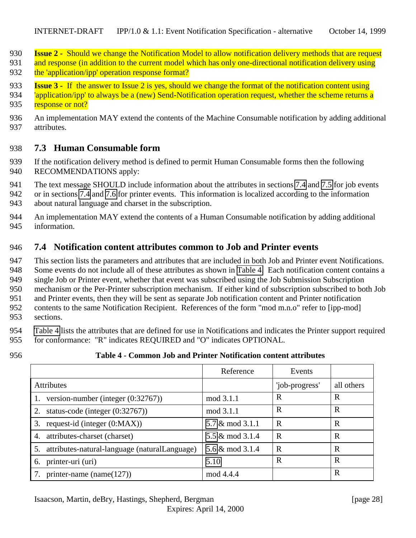- <span id="page-27-0"></span>**Issue 2 -** Should we change the Notification Model to allow notification delivery methods that are request
- 931 and response (in addition to the current model which has only one-directional notification delivery using 932 the 'application/ipp' operation response format?
- **Issue 3 -** If the answer to Issue 2 is yes, should we change the format of the notification content using
- *lapplication/ipp'* to always be a (new) Send-Notification operation request, whether the scheme returns a 935 response or not?
- An implementation MAY extend the contents of the Machine Consumable notification by adding additional attributes.

### **7.3 Human Consumable form**

- If the notification delivery method is defined to permit Human Consumable forms then the following RECOMMENDATIONS apply:
- The text message SHOULD include information about the attributes in sections [7.4](#page-30-0) and [7.5](#page-29-0) for job events
- or in sections 7.4 and [7.6](#page-29-0) for printer events. This information is localized according to the information about natural language and charset in the subscription.
- An implementation MAY extend the contents of a Human Consumable notification by adding additional information.

## **7.4 Notification content attributes common to Job and Printer events**

 This section lists the parameters and attributes that are included in both Job and Printer event Notifications. Some events do not include all of these attributes as shown in Table 4. Each notification content contains a single Job or Printer event, whether that event was subscribed using the Job Submission Subscription mechanism or the Per-Printer subscription mechanism. If either kind of subscription subscribed to both Job and Printer events, then they will be sent as separate Job notification content and Printer notification contents to the same Notification Recipient. References of the form "mod m.n.o" refer to [ipp-mod] sections.

- Table 4 lists the attributes that are defined for use in Notifications and indicates the Printer support required for conformance: "R" indicates REQUIRED and "O" indicates OPTIONAL.
- 

#### **Table 4 - Common Job and Printer Notification content attributes**

|                                                     | Reference                  | Events         |            |
|-----------------------------------------------------|----------------------------|----------------|------------|
| <b>Attributes</b>                                   |                            | 'job-progress' | all others |
| version-number (integer $(0:32767)$ )               | mod 3.1.1                  | R              | R          |
| status-code (integer $(0.32767)$ )<br>2.            | mod 3.1.1                  | R              | R          |
| request-id (integer $(0:MAX)$ )<br>3.               | $5.7 \& \text{mod } 3.1.1$ | R              | R          |
| attributes-charset (charset)<br>4.                  | 5.5 & mod 3.1.4            | R              | R          |
| attributes-natural-language (naturalLanguage)<br>5. | 5.6 & mod 3.1.4            | $\mathbf R$    | R          |
| printer-uri (uri)<br>6.                             | 5.10                       | R              | R          |
| printer-name (name $(127)$ )                        | mod 4.4.4                  |                | R          |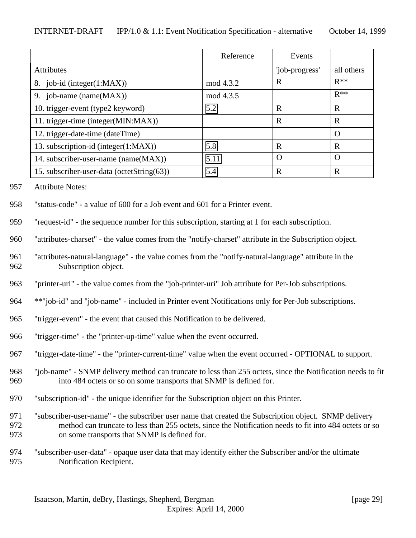|                                            | Reference | Events         |             |
|--------------------------------------------|-----------|----------------|-------------|
| <b>Attributes</b>                          |           | 'job-progress' | all others  |
| 8. job-id (integer(1:MAX))                 | mod 4.3.2 | R              | $R**$       |
| 9. job-name (name(MAX))                    | mod 4.3.5 |                | $R**$       |
| 10. trigger-event (type2 keyword)          | 5.2       | $\mathbf R$    | $\mathbf R$ |
| 11. trigger-time (integer(MIN:MAX))        |           | $\mathbf R$    | R           |
| 12. trigger-date-time (dateTime)           |           |                | $\Omega$    |
| 13. subscription-id (integer(1:MAX))       | 5.8       | R              | R           |
| 14. subscriber-user-name (name(MAX))       | 5.11      | O              | $\Omega$    |
| 15. subscriber-user-data (octetString(63)) | 5.4       | R              | R           |

957 Attribute Notes:

- 958 "status-code" a value of 600 for a Job event and 601 for a Printer event.
- 959 "request-id" the sequence number for this subscription, starting at 1 for each subscription.
- 960 "attributes-charset" the value comes from the "notify-charset" attribute in the Subscription object.
- 961 "attributes-natural-language" the value comes from the "notify-natural-language" attribute in the 962 Subscription object.
- 963 "printer-uri" the value comes from the "job-printer-uri" Job attribute for Per-Job subscriptions.
- 964 \*\*"job-id" and "job-name" included in Printer event Notifications only for Per-Job subscriptions.
- 965 "trigger-event" the event that caused this Notification to be delivered.
- 966 "trigger-time" the "printer-up-time" value when the event occurred.
- 967 "trigger-date-time" the "printer-current-time" value when the event occurred OPTIONAL to support.
- 968 "job-name" SNMP delivery method can truncate to less than 255 octets, since the Notification needs to fit 969 into 484 octets or so on some transports that SNMP is defined for.
- 970 "subscription-id" the unique identifier for the Subscription object on this Printer.
- 971 "subscriber-user-name" the subscriber user name that created the Subscription object. SNMP delivery 972 method can truncate to less than 255 octets, since the Notification needs to fit into 484 octets or so 973 on some transports that SNMP is defined for.
- 974 "subscriber-user-data" opaque user data that may identify either the Subscriber and/or the ultimate 975 Notification Recipient.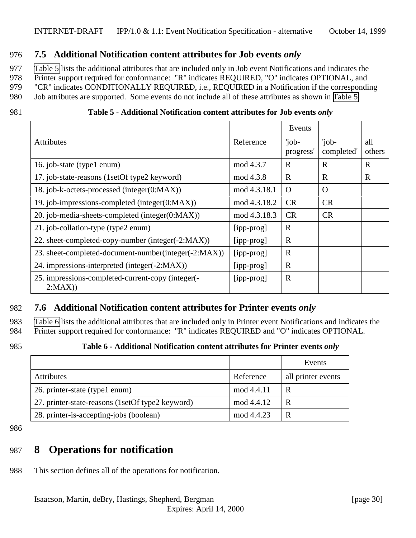#### <span id="page-29-0"></span>976 **7.5 Additional Notification content attributes for Job events** *only*

977 Table 5 lists the additional attributes that are included only in Job event Notifications and indicates the

978 Printer support required for conformance: "R" indicates REQUIRED, "O" indicates OPTIONAL, and

979 "CR" indicates CONDITIONALLY REQUIRED, i.e., REQUIRED in a Notification if the corresponding

980 Job attributes are supported. Some events do not include all of these attributes as shown in Table 5.

| Table 5 - Additional Notification content attributes for Job events only |
|--------------------------------------------------------------------------|
|                                                                          |

|                                                             |              | Events             |                     |               |
|-------------------------------------------------------------|--------------|--------------------|---------------------|---------------|
| <b>Attributes</b>                                           | Reference    | 'job-<br>progress' | 'job-<br>completed' | all<br>others |
| 16. job-state (type1 enum)                                  | mod 4.3.7    | $\mathbf R$        | $\mathbf R$         | $\mathbf R$   |
| 17. job-state-reasons (1setOf type2 keyword)                | mod 4.3.8    | $\mathbf R$        | $\mathbf R$         | $\mathbf R$   |
| 18. job-k-octets-processed (integer(0:MAX))                 | mod 4.3.18.1 | $\Omega$           | $\Omega$            |               |
| 19. job-impressions-completed (integer(0:MAX))              | mod 4.3.18.2 | <b>CR</b>          | <b>CR</b>           |               |
| 20. job-media-sheets-completed (integer(0:MAX))             | mod 4.3.18.3 | <b>CR</b>          | <b>CR</b>           |               |
| 21. job-collation-type (type2 enum)                         | [ipp-prog]   | $\mathbf R$        |                     |               |
| 22. sheet-completed-copy-number (integer(-2:MAX))           | [ipp-prog]   | $\mathbf R$        |                     |               |
| 23. sheet-completed-document-number(integer(-2:MAX))        | [ipp-prog]   | $\mathbf R$        |                     |               |
| 24. impressions-interpreted (integer(-2:MAX))               | [ipp-prog]   | $\mathbf R$        |                     |               |
| 25. impressions-completed-current-copy (integer(-<br>2:MAX) | [ipp-prog]   | $\mathbf R$        |                     |               |

## 982 **7.6 Additional Notification content attributes for Printer events** *only*

983 Table 6 lists the additional attributes that are included only in Printer event Notifications and indicates the 984 Printer support required for conformance: "R" indicates REQUIRED and "O" indicates OPTIONAL.

#### 985 **Table 6 - Additional Notification content attributes for Printer events** *only*

|                                                  |            | Events             |
|--------------------------------------------------|------------|--------------------|
| <b>Attributes</b>                                | Reference  | all printer events |
| 26. printer-state (type1 enum)                   | mod 4.4.11 | R                  |
| 27. printer-state-reasons (1setOf type2 keyword) | mod 4.4.12 | R                  |
| 28. printer-is-accepting-jobs (boolean)          | mod 4.4.23 | R                  |

986

# 987 **8 Operations for notification**

988 This section defines all of the operations for notification.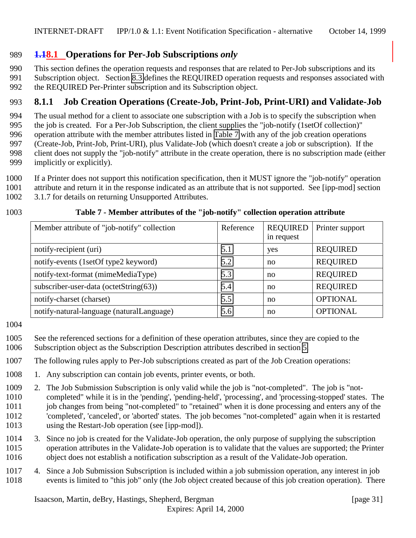## <span id="page-30-0"></span>**1.18.1 Operations for Per-Job Subscriptions** *only*

This section defines the operation requests and responses that are related to Per-Job subscriptions and its

Subscription object. Section [8.3](#page-36-0) defines the REQUIRED operation requests and responses associated with

the REQUIRED Per-Printer subscription and its Subscription object.

## **8.1.1 Job Creation Operations (Create-Job, Print-Job, Print-URI) and Validate-Job**

 The usual method for a client to associate one subscription with a Job is to specify the subscription when the job is created. For a Per-Job Subscription, the client supplies the "job-notify (1setOf collection)"

operation attribute with the member attributes listed in Table 7 with any of the job creation operations

(Create-Job, Print-Job, Print-URI), plus Validate-Job (which doesn't create a job or subscription). If the

client does not supply the "job-notify" attribute in the create operation, there is no subscription made (either

- implicitly or explicitly).
- If a Printer does not support this notification specification, then it MUST ignore the "job-notify" operation
- attribute and return it in the response indicated as an attribute that is not supported. See [ipp-mod] section
- 3.1.7 for details on returning Unsupported Attributes.

#### **Table 7 - Member attributes of the "job-notify" collection operation attribute**

| Member attribute of "job-notify" collection | Reference | <b>REQUIRED</b><br>in request | Printer support |
|---------------------------------------------|-----------|-------------------------------|-----------------|
| notify-recipient (uri)                      | 5.1       | yes                           | <b>REQUIRED</b> |
| notify-events (1setOf type2 keyword)        | 5.2       | no                            | <b>REQUIRED</b> |
| notify-text-format (mimeMediaType)          | 5.3       | no                            | <b>REQUIRED</b> |
| subscriber-user-data (octetString(63))      | 5.4       | no                            | <b>REQUIRED</b> |
| notify-charset (charset)                    | 5.5       | no                            | <b>OPTIONAL</b> |
| notify-natural-language (naturalLanguage)   | 5.6       | no                            | <b>OPTIONAL</b> |

- See the referenced sections for a definition of these operation attributes, since they are copied to the
- Subscription object as the Subscription Description attributes described in section [5.](#page-15-0)

The following rules apply to Per-Job subscriptions created as part of the Job Creation operations:

- 1. Any subscription can contain job events, printer events, or both.
- 2. The Job Submission Subscription is only valid while the job is "not-completed". The job is "not- completed" while it is in the 'pending', 'pending-held', 'processing', and 'processing-stopped' states. The job changes from being "not-completed" to "retained" when it is done processing and enters any of the 'completed', 'canceled', or 'aborted' states. The job becomes "not-completed" again when it is restarted using the Restart-Job operation (see [ipp-mod]).
- 3. Since no job is created for the Validate-Job operation, the only purpose of supplying the subscription operation attributes in the Validate-Job operation is to validate that the values are supported; the Printer object does not establish a notification subscription as a result of the Validate-Job operation.
- 4. Since a Job Submission Subscription is included within a job submission operation, any interest in job events is limited to "this job" only (the Job object created because of this job creation operation). There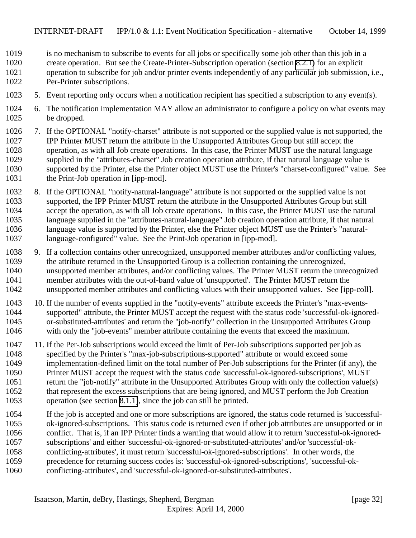- is no mechanism to subscribe to events for all jobs or specifically some job other than this job in a
- create operation. But see the Create-Printer-Subscription operation (section [8.2.1\)](#page-34-0) for an explicit
- operation to subscribe for job and/or printer events independently of any particular job submission, i.e., Per-Printer subscriptions.
- 5. Event reporting only occurs when a notification recipient has specified a subscription to any event(s).
- 6. The notification implementation MAY allow an administrator to configure a policy on what events may be dropped.
- 7. If the OPTIONAL "notify-charset" attribute is not supported or the supplied value is not supported, the IPP Printer MUST return the attribute in the Unsupported Attributes Group but still accept the operation, as with all Job create operations. In this case, the Printer MUST use the natural language supplied in the "attributes-charset" Job creation operation attribute, if that natural language value is supported by the Printer, else the Printer object MUST use the Printer's "charset-configured" value. See the Print-Job operation in [ipp-mod].
- 8. If the OPTIONAL "notify-natural-language" attribute is not supported or the supplied value is not supported, the IPP Printer MUST return the attribute in the Unsupported Attributes Group but still accept the operation, as with all Job create operations. In this case, the Printer MUST use the natural language supplied in the "attributes-natural-language" Job creation operation attribute, if that natural language value is supported by the Printer, else the Printer object MUST use the Printer's "natural-language-configured" value. See the Print-Job operation in [ipp-mod].
- 9. If a collection contains other unrecognized, unsupported member attributes and/or conflicting values, the attribute returned in the Unsupported Group is a collection containing the unrecognized, unsupported member attributes, and/or conflicting values. The Printer MUST return the unrecognized member attributes with the out-of-band value of 'unsupported'. The Printer MUST return the unsupported member attributes and conflicting values with their unsupported values. See [ipp-coll].
- 10. If the number of events supplied in the "notify-events" attribute exceeds the Printer's "max-events- supported" attribute, the Printer MUST accept the request with the status code 'successful-ok-ignored- or-substituted-attributes' and return the "job-notify" collection in the Unsupported Attributes Group with only the "job-events" member attribute containing the events that exceed the maximum.
- 11. If the Per-Job subscriptions would exceed the limit of Per-Job subscriptions supported per job as specified by the Printer's "max-job-subscriptions-supported" attribute or would exceed some implementation-defined limit on the total number of Per-Job subscriptions for the Printer (if any), the Printer MUST accept the request with the status code 'successful-ok-ignored-subscriptions', MUST return the "job-notify" attribute in the Unsupported Attributes Group with only the collection value(s) that represent the excess subscriptions that are being ignored, and MUST perform the Job Creation operation (see section [8.1.1\)](#page-30-0), since the job can still be printed.
- If the job is accepted and one or more subscriptions are ignored, the status code returned is 'successful- ok-ignored-subscriptions. This status code is returned even if other job attributes are unsupported or in conflict. That is, if an IPP Printer finds a warning that would allow it to return 'successful-ok-ignored- subscriptions' and either 'successful-ok-ignored-or-substituted-attributes' and/or 'successful-ok- conflicting-attributes', it must return 'successful-ok-ignored-subscriptions'. In other words, the precedence for returning success codes is: 'successful-ok-ignored-subscriptions', 'successful-ok-
- conflicting-attributes', and 'successful-ok-ignored-or-substituted-attributes'.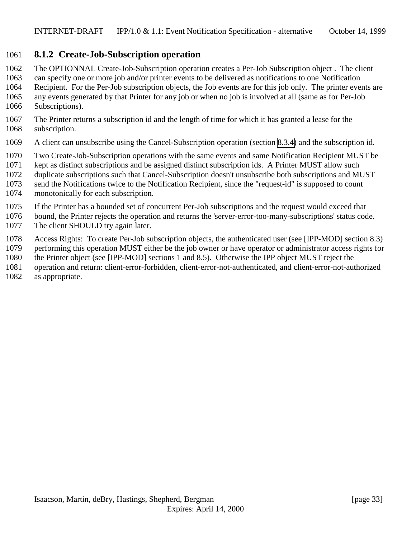#### <span id="page-32-0"></span>**8.1.2 Create-Job-Subscription operation**

- The OPTIONNAL Create-Job-Subscription operation creates a Per-Job Subscription object . The client
- can specify one or more job and/or printer events to be delivered as notifications to one Notification Recipient. For the Per-Job subscription objects, the Job events are for this job only. The printer events are
- any events generated by that Printer for any job or when no job is involved at all (same as for Per-Job
- Subscriptions).
- The Printer returns a subscription id and the length of time for which it has granted a lease for the subscription.
- A client can unsubscribe using the Cancel-Subscription operation (section [8.3.4\)](#page-39-0) and the subscription id.
- Two Create-Job-Subscription operations with the same events and same Notification Recipient MUST be
- kept as distinct subscriptions and be assigned distinct subscription ids. A Printer MUST allow such
- duplicate subscriptions such that Cancel-Subscription doesn't unsubscribe both subscriptions and MUST
- send the Notifications twice to the Notification Recipient, since the "request-id" is supposed to count
- monotonically for each subscription.
- If the Printer has a bounded set of concurrent Per-Job subscriptions and the request would exceed that
- bound, the Printer rejects the operation and returns the 'server-error-too-many-subscriptions' status code. 1077 The client SHOULD try again later.
- Access Rights: To create Per-Job subscription objects, the authenticated user (see [IPP-MOD] section 8.3)
- performing this operation MUST either be the job owner or have operator or administrator access rights for
- the Printer object (see [IPP-MOD] sections 1 and 8.5). Otherwise the IPP object MUST reject the
- operation and return: client-error-forbidden, client-error-not-authenticated, and client-error-not-authorized
- as appropriate.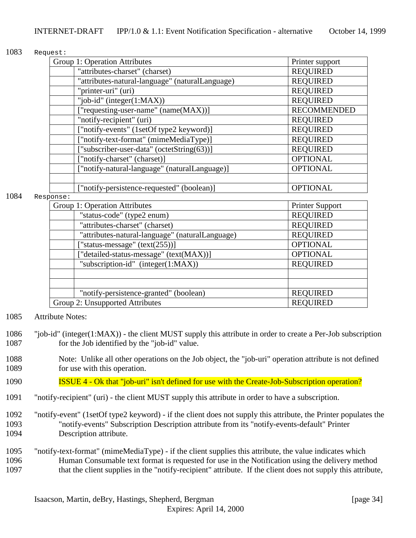#### 1083 Request:

| Group 1: Operation Attributes                   | Printer support    |
|-------------------------------------------------|--------------------|
| "attributes-charset" (charset)                  | <b>REQUIRED</b>    |
| "attributes-natural-language" (naturalLanguage) | <b>REQUIRED</b>    |
| "printer-uri" (uri)                             | <b>REQUIRED</b>    |
| "job-id" (integer $(1:MAX)$ )                   | <b>REQUIRED</b>    |
| ["requesting-user-name" (name(MAX))]            | <b>RECOMMENDED</b> |
| "notify-recipient" (uri)                        | <b>REQUIRED</b>    |
| ["notify-events" (1setOf type2 keyword)]        | <b>REQUIRED</b>    |
| "notify-text-format" (mimeMediaType)]           | <b>REQUIRED</b>    |
| ["subscriber-user-data" (octetString(63))]      | <b>REQUIRED</b>    |
| ["notify-charset" (charset)]                    | <b>OPTIONAL</b>    |
| ["notify-natural-language" (naturalLanguage)]   | <b>OPTIONAL</b>    |
|                                                 |                    |
| ["notify-persistence-requested" (boolean)]      | <b>OPTIONAL</b>    |

#### 1084 Response:

| Group 1: Operation Attributes                   | Printer Support |
|-------------------------------------------------|-----------------|
| "status-code" (type2 enum)                      | <b>REQUIRED</b> |
| "attributes-charset" (charset)                  | <b>REQUIRED</b> |
| "attributes-natural-language" (naturalLanguage) | <b>REQUIRED</b> |
| ["status-message" $(text(255))]$                | <b>OPTIONAL</b> |
| ["detailed-status-message" (text(MAX))]         | <b>OPTIONAL</b> |
| "subscription-id" (integer(1:MAX))              | <b>REQUIRED</b> |
|                                                 |                 |
|                                                 |                 |
| "notify-persistence-granted" (boolean)          | <b>REQUIRED</b> |
| Group 2: Unsupported Attributes                 | <b>REQUIRED</b> |

- 1085 Attribute Notes:
- 1086 "job-id" (integer(1:MAX)) the client MUST supply this attribute in order to create a Per-Job subscription 1087 for the Job identified by the "job-id" value.
- 1088 Note: Unlike all other operations on the Job object, the "job-uri" operation attribute is not defined 1089 for use with this operation.
- 1090 ISSUE 4 Ok that "job-uri" isn't defined for use with the Create-Job-Subscription operation?
- 1091 "notify-recipient" (uri) the client MUST supply this attribute in order to have a subscription.
- 1092 "notify-event" (1setOf type2 keyword) if the client does not supply this attribute, the Printer populates the 1093 "notify-events" Subscription Description attribute from its "notify-events-default" Printer 1094 Description attribute.
- 1095 "notify-text-format" (mimeMediaType) if the client supplies this attribute, the value indicates which 1096 Human Consumable text format is requested for use in the Notification using the delivery method 1097 that the client supplies in the "notify-recipient" attribute. If the client does not supply this attribute,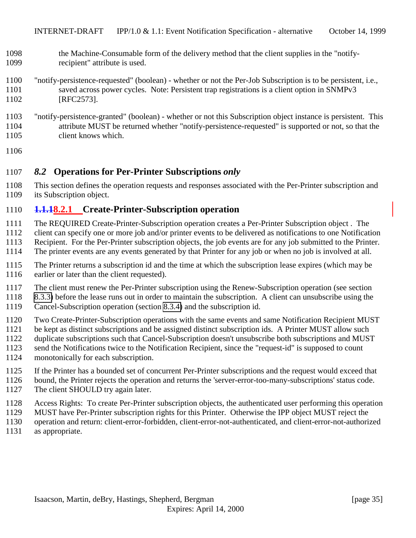- <span id="page-34-0"></span> the Machine-Consumable form of the delivery method that the client supplies in the "notify-recipient" attribute is used.
- "notify-persistence-requested" (boolean) whether or not the Per-Job Subscription is to be persistent, i.e., saved across power cycles. Note: Persistent trap registrations is a client option in SNMPv3 1102 [RFC2573].
- "notify-persistence-granted" (boolean) whether or not this Subscription object instance is persistent. This attribute MUST be returned whether "notify-persistence-requested" is supported or not, so that the client knows which.
- 

## *8.2* **Operations for Per-Printer Subscriptions** *only*

 This section defines the operation requests and responses associated with the Per-Printer subscription and its Subscription object.

### **1.1.18.2.1 Create-Printer-Subscription operation**

- The REQUIRED Create-Printer-Subscription operation creates a Per-Printer Subscription object . The
- client can specify one or more job and/or printer events to be delivered as notifications to one Notification
- Recipient. For the Per-Printer subscription objects, the job events are for any job submitted to the Printer.
- The printer events are any events generated by that Printer for any job or when no job is involved at all.
- The Printer returns a subscription id and the time at which the subscription lease expires (which may be 1116 earlier or later than the client requested).
- The client must renew the Per-Printer subscription using the Renew-Subscription operation (see section
- [8.3.3\)](#page-38-0) before the lease runs out in order to maintain the subscription. A client can unsubscribe using the
- Cancel-Subscription operation (section [8.3.4\)](#page-39-0) and the subscription id.
- Two Create-Printer-Subscription operations with the same events and same Notification Recipient MUST
- be kept as distinct subscriptions and be assigned distinct subscription ids. A Printer MUST allow such
- duplicate subscriptions such that Cancel-Subscription doesn't unsubscribe both subscriptions and MUST
- send the Notifications twice to the Notification Recipient, since the "request-id" is supposed to count
- monotonically for each subscription.
- If the Printer has a bounded set of concurrent Per-Printer subscriptions and the request would exceed that
- bound, the Printer rejects the operation and returns the 'server-error-too-many-subscriptions' status code.
- 1127 The client SHOULD try again later.
- Access Rights: To create Per-Printer subscription objects, the authenticated user performing this operation
- MUST have Per-Printer subscription rights for this Printer. Otherwise the IPP object MUST reject the
- operation and return: client-error-forbidden, client-error-not-authenticated, and client-error-not-authorized
- as appropriate.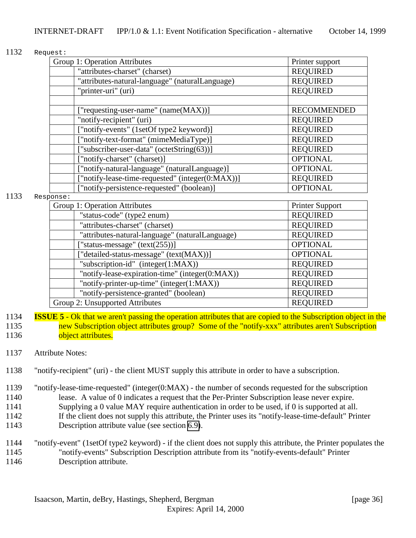#### 1132 Request:

| Group 1: Operation Attributes                    | Printer support    |
|--------------------------------------------------|--------------------|
| "attributes-charset" (charset)                   | <b>REQUIRED</b>    |
| "attributes-natural-language" (naturalLanguage)  | <b>REQUIRED</b>    |
| "printer-uri" (uri)                              | <b>REQUIRED</b>    |
|                                                  |                    |
| ["requesting-user-name" (name(MAX))]             | <b>RECOMMENDED</b> |
| "notify-recipient" (uri)                         | <b>REQUIRED</b>    |
| ["notify-events" (1setOf type2 keyword)]         | <b>REQUIRED</b>    |
| ["notify-text-format" (mimeMediaType)]           | <b>REQUIRED</b>    |
| ["subscriber-user-data" (octetString(63))]       | <b>REQUIRED</b>    |
| ["notify-charset" (charset)]                     | <b>OPTIONAL</b>    |
| ["notify-natural-language" (naturalLanguage)]    | <b>OPTIONAL</b>    |
| ["notify-lease-time-requested" (integer(0:MAX))] | <b>REQUIRED</b>    |
| ["notify-persistence-requested" (boolean)]       | <b>OPTIONAL</b>    |

#### 1133 Response:

| Group 1: Operation Attributes                   | <b>Printer Support</b> |
|-------------------------------------------------|------------------------|
| "status-code" (type2 enum)                      | <b>REQUIRED</b>        |
| "attributes-charset" (charset)                  | <b>REQUIRED</b>        |
| "attributes-natural-language" (naturalLanguage) | <b>REQUIRED</b>        |
| ["status-message" $(text(255))]$                | <b>OPTIONAL</b>        |
| ["detailed-status-message" (text(MAX))]         | <b>OPTIONAL</b>        |
| "subscription-id" (integer(1:MAX))              | <b>REQUIRED</b>        |
| "notify-lease-expiration-time" (integer(0:MAX)) | <b>REQUIRED</b>        |
| "notify-printer-up-time" (integer(1:MAX))       | <b>REQUIRED</b>        |
| "notify-persistence-granted" (boolean)          | <b>REQUIRED</b>        |
| Group 2: Unsupported Attributes                 | <b>REQUIRED</b>        |

1134 **ISSUE 5** - Ok that we aren't passing the operation attributes that are copied to the Subscription object in the 1135 new Subscription object attributes group? Some of the "notify-xxx" attributes aren't Subscription 1136 **object attributes.** 

#### 1137 Attribute Notes:

- 1138 "notify-recipient" (uri) the client MUST supply this attribute in order to have a subscription.
- 1139 "notify-lease-time-requested" (integer(0:MAX) the number of seconds requested for the subscription 1140 lease. A value of 0 indicates a request that the Per-Printer Subscription lease never expire. 1141 Supplying a 0 value MAY require authentication in order to be used, if 0 is supported at all. 1142 If the client does not supply this attribute, the Printer uses its "notify-lease-time-default" Printer 1143 Description attribute value (see section [6.9\)](#page-25-0).
- 1144 "notify-event" (1setOf type2 keyword) if the client does not supply this attribute, the Printer populates the 1145 "notify-events" Subscription Description attribute from its "notify-events-default" Printer 1146 Description attribute.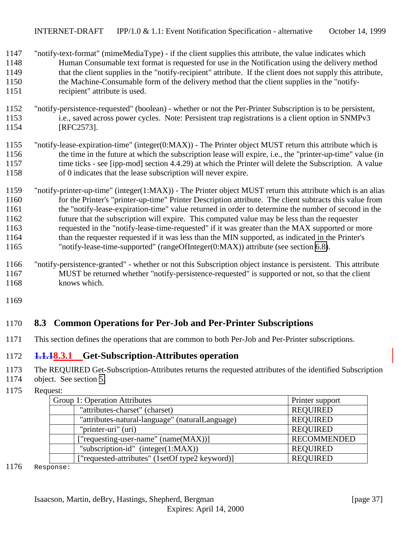- <span id="page-36-0"></span> "notify-text-format" (mimeMediaType) - if the client supplies this attribute, the value indicates which Human Consumable text format is requested for use in the Notification using the delivery method 1149 that the client supplies in the "notify-recipient" attribute. If the client does not supply this attribute, the Machine-Consumable form of the delivery method that the client supplies in the "notify-recipient" attribute is used.
- "notify-persistence-requested" (boolean) whether or not the Per-Printer Subscription is to be persistent, i.e., saved across power cycles. Note: Persistent trap registrations is a client option in SNMPv3 [RFC2573].
- "notify-lease-expiration-time" (integer(0:MAX)) The Printer object MUST return this attribute which is the time in the future at which the subscription lease will expire, i.e., the "printer-up-time" value (in 1157 time ticks - see [ipp-mod] section 4.4.29) at which the Printer will delete the Subscription. A value of 0 indicates that the lease subscription will never expire.
- "notify-printer-up-time" (integer(1:MAX)) The Printer object MUST return this attribute which is an alias for the Printer's "printer-up-time" Printer Description attribute. The client subtracts this value from the "notify-lease-expiration-time" value returned in order to determine the number of second in the future that the subscription will expire. This computed value may be less than the requester requested in the "notify-lease-time-requested" if it was greater than the MAX supported or more than the requester requested if it was less than the MIN supported, as indicated in the Printer's "notify-lease-time-supported" (rangeOfInteger(0:MAX)) attribute (see section [6.8\)](#page-25-0).
- "notify-persistence-granted" whether or not this Subscription object instance is persistent. This attribute MUST be returned whether "notify-persistence-requested" is supported or not, so that the client knows which.
- 

## **8.3 Common Operations for Per-Job and Per-Printer Subscriptions**

This section defines the operations that are common to both Per-Job and Per-Printer subscriptions.

#### **1.1.18.3.1 Get-Subscription-Attributes operation**

- The REQUIRED Get-Subscription-Attributes returns the requested attributes of the identified Subscription
- object. See section [5.](#page-15-0)
- Request:

| Group 1: Operation Attributes                   | Printer support    |
|-------------------------------------------------|--------------------|
| "attributes-charset" (charset)                  | <b>REQUIRED</b>    |
| "attributes-natural-language" (naturalLanguage) | <b>REQUIRED</b>    |
| "printer-uri" (uri)                             | <b>REQUIRED</b>    |
| ["requesting-user-name" $(name(MAX))$ ]         | <b>RECOMMENDED</b> |
| "subscription-id" $(integer(1:MAX))$            | <b>REQUIRED</b>    |
| ["requested-attributes" (1setOf type2 keyword)] | <b>REQUIRED</b>    |

Response: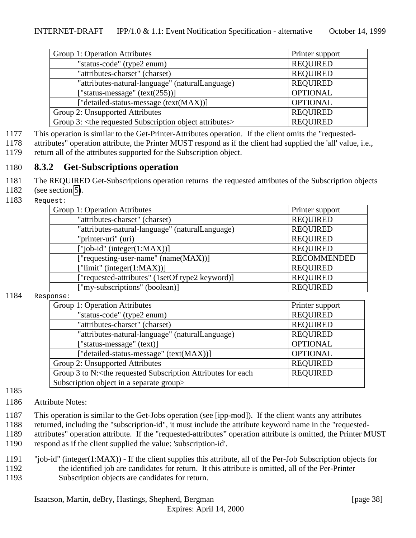<span id="page-37-0"></span>

| Group 1: Operation Attributes                                             | Printer support |  |
|---------------------------------------------------------------------------|-----------------|--|
| "status-code" (type2 enum)                                                | <b>REQUIRED</b> |  |
| "attributes-charset" (charset)                                            | <b>REQUIRED</b> |  |
| "attributes-natural-language" (naturalLanguage)                           | <b>REQUIRED</b> |  |
| ["status-message" $(text(255))]$                                          | <b>OPTIONAL</b> |  |
| ["detailed-status-message (text(MAX))]                                    | <b>OPTIONAL</b> |  |
| Group 2: Unsupported Attributes                                           | <b>REQUIRED</b> |  |
| Group 3: <the attributes="" object="" requested="" subscription=""></the> | <b>REQUIRED</b> |  |

1177 This operation is similar to the Get-Printer-Attributes operation. If the client omits the "requested-

1178 attributes" operation attribute, the Printer MUST respond as if the client had supplied the 'all' value, i.e., 1179 return all of the attributes supported for the Subscription object.

## 1180 **8.3.2 Get-Subscriptions operation**

- 1181 The REQUIRED Get-Subscriptions operation returns the requested attributes of the Subscription objects
- 1182 (see section [5\)](#page-15-0).
- 1183 Request:

| Group 1: Operation Attributes                   | Printer support    |
|-------------------------------------------------|--------------------|
| "attributes-charset" (charset)                  | <b>REQUIRED</b>    |
| "attributes-natural-language" (naturalLanguage) | <b>REQUIRED</b>    |
| "printer-uri" (uri)                             | <b>REQUIRED</b>    |
| $['job-id' (integer(1:MAX))]$                   | <b>REQUIRED</b>    |
| ["requesting-user-name" (name(MAX))]            | <b>RECOMMENDED</b> |
| ["limit" (integer $(1:MAX)$ )]                  | <b>REQUIRED</b>    |
| ["requested-attributes" (1setOf type2 keyword)] | <b>REQUIRED</b>    |
| ["my-subscriptions" (boolean)]                  | <b>REQUIRED</b>    |

#### 1184 Response:

| - - - - -                                                                                                          |                 |  |
|--------------------------------------------------------------------------------------------------------------------|-----------------|--|
| Group 1: Operation Attributes                                                                                      | Printer support |  |
| "status-code" (type2 enum)                                                                                         | <b>REQUIRED</b> |  |
| "attributes-charset" (charset)                                                                                     | <b>REQUIRED</b> |  |
| "attributes-natural-language" (naturalLanguage)                                                                    | <b>REQUIRED</b> |  |
| ["status-message" (text)]                                                                                          | <b>OPTIONAL</b> |  |
| ["detailed-status-message" (text(MAX))]                                                                            | <b>OPTIONAL</b> |  |
| Group 2: Unsupported Attributes                                                                                    | <b>REQUIRED</b> |  |
| Group 3 to N: <the attributes="" each<="" for="" requested="" subscription="" td=""><td><b>REQUIRED</b></td></the> | <b>REQUIRED</b> |  |
| Subscription object in a separate group>                                                                           |                 |  |

#### 1185

- 1186 Attribute Notes:
- 1187 This operation is similar to the Get-Jobs operation (see [ipp-mod]). If the client wants any attributes
- 1188 returned, including the "subscription-id", it must include the attribute keyword name in the "requested-
- 1189 attributes" operation attribute. If the "requested-attributes" operation attribute is omitted, the Printer MUST
- 1190 respond as if the client supplied the value: 'subscription-id'.
- 1191 "job-id" (integer(1:MAX)) If the client supplies this attribute, all of the Per-Job Subscription objects for 1192 the identified job are candidates for return. It this attribute is omitted, all of the Per-Printer 1193 Subscription objects are candidates for return.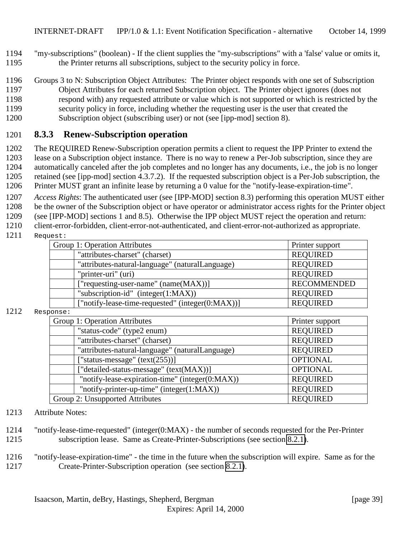- <span id="page-38-0"></span>1194 "my-subscriptions" (boolean) - If the client supplies the "my-subscriptions" with a 'false' value or omits it, 1195 the Printer returns all subscriptions, subject to the security policy in force.
- 1196 Groups 3 to N: Subscription Object Attributes: The Printer object responds with one set of Subscription 1197 Object Attributes for each returned Subscription object. The Printer object ignores (does not 1198 respond with) any requested attribute or value which is not supported or which is restricted by the 1199 security policy in force, including whether the requesting user is the user that created the
- 1200 Subscription object (subscribing user) or not (see [ipp-mod] section 8).

### 1201 **8.3.3 Renew-Subscription operation**

 The REQUIRED Renew-Subscription operation permits a client to request the IPP Printer to extend the lease on a Subscription object instance. There is no way to renew a Per-Job subscription, since they are automatically canceled after the job completes and no longer has any documents, i.e., the job is no longer retained (see [ipp-mod] section 4.3.7.2). If the requested subscription object is a Per-Job subscription, the Printer MUST grant an infinite lease by returning a 0 value for the "notify-lease-expiration-time".

1207 *Access Rights*: The authenticated user (see [IPP-MOD] section 8.3) performing this operation MUST either 1208 be the owner of the Subscription object or have operator or administrator access rights for the Printer object

1209 (see [IPP-MOD] sections 1 and 8.5). Otherwise the IPP object MUST reject the operation and return:

1210 client-error-forbidden, client-error-not-authenticated, and client-error-not-authorized as appropriate.

#### 1211 Request:

| Group 1: Operation Attributes                    | Printer support    |
|--------------------------------------------------|--------------------|
| "attributes-charset" (charset)                   | <b>REQUIRED</b>    |
| "attributes-natural-language" (naturalLanguage)  | <b>REQUIRED</b>    |
| "printer-uri" (uri)                              | <b>REQUIRED</b>    |
| ["requesting-user-name" (name(MAX))]             | <b>RECOMMENDED</b> |
| "subscription-id" $(integer(1:MAX))$             | <b>REQUIRED</b>    |
| ["notify-lease-time-requested" (integer(0:MAX))] | <b>REQUIRED</b>    |

#### 1212 Response:

| ,,,,,,,,,                                       |                 |
|-------------------------------------------------|-----------------|
| Group 1: Operation Attributes                   | Printer support |
| "status-code" (type2 enum)                      | <b>REQUIRED</b> |
| "attributes-charset" (charset)                  | <b>REQUIRED</b> |
| "attributes-natural-language" (naturalLanguage) | <b>REQUIRED</b> |
| ["status-message" $(text(255))]$                | <b>OPTIONAL</b> |
| ["detailed-status-message" (text(MAX))]         | <b>OPTIONAL</b> |
| "notify-lease-expiration-time" (integer(0:MAX)) | <b>REQUIRED</b> |
| "notify-printer-up-time" (integer(1:MAX))       | <b>REQUIRED</b> |
| Group 2: Unsupported Attributes                 | <b>REQUIRED</b> |

#### 1213 Attribute Notes:

- 1214 "notify-lease-time-requested" (integer(0:MAX) the number of seconds requested for the Per-Printer 1215 subscription lease. Same as Create-Printer-Subscriptions (see section [8.2.1\)](#page-34-0).
- 1216 "notify-lease-expiration-time" the time in the future when the subscription will expire. Same as for the 1217 Create-Printer-Subscription operation (see section [8.2.1\)](#page-34-0).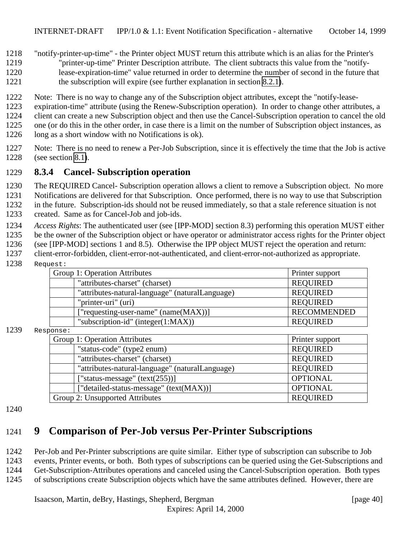<span id="page-39-0"></span>"notify-printer-up-time" - the Printer object MUST return this attribute which is an alias for the Printer's

- "printer-up-time" Printer Description attribute. The client subtracts this value from the "notify-
- lease-expiration-time" value returned in order to determine the number of second in the future that 1221 the subscription will expire (see further explanation in section [8.2.1\)](#page-34-0).
- Note: There is no way to change any of the Subscription object attributes, except the "notify-lease-
- expiration-time" attribute (using the Renew-Subscription operation). In order to change other attributes, a
- client can create a new Subscription object and then use the Cancel-Subscription operation to cancel the old
- one (or do this in the other order, in case there is a limit on the number of Subscription object instances, as
- long as a short window with no Notifications is ok).
- Note: There is no need to renew a Per-Job Subscription, since it is effectively the time that the Job is active (see section [8.1\)](#page-30-0).

## **8.3.4 Cancel- Subscription operation**

The REQUIRED Cancel- Subscription operation allows a client to remove a Subscription object. No more

Notifications are delivered for that Subscription. Once performed, there is no way to use that Subscription

in the future. Subscription-ids should not be reused immediately, so that a stale reference situation is not

- created. Same as for Cancel-Job and job-ids.
- *Access Rights*: The authenticated user (see [IPP-MOD] section 8.3) performing this operation MUST either
- be the owner of the Subscription object or have operator or administrator access rights for the Printer object
- (see [IPP-MOD] sections 1 and 8.5). Otherwise the IPP object MUST reject the operation and return:
- client-error-forbidden, client-error-not-authenticated, and client-error-not-authorized as appropriate.
- Request:

| Group 1: Operation Attributes                   | Printer support    |
|-------------------------------------------------|--------------------|
| "attributes-charset" (charset)                  | <b>REQUIRED</b>    |
| "attributes-natural-language" (naturalLanguage) | <b>REQUIRED</b>    |
| "printer-uri" (uri)                             | <b>REQUIRED</b>    |
| ["requesting-user-name" (name(MAX))]            | <b>RECOMMENDED</b> |
| "subscription-id" (integer $(1:MAX)$ )          | <b>REQUIRED</b>    |
|                                                 |                    |

#### Response:

| Group 1: Operation Attributes                   | Printer support |
|-------------------------------------------------|-----------------|
| "status-code" (type2 enum)                      | <b>REQUIRED</b> |
| "attributes-charset" (charset)                  | <b>REQUIRED</b> |
| "attributes-natural-language" (naturalLanguage) | <b>REQUIRED</b> |
| ["status-message" $(text(255))]$                | <b>OPTIONAL</b> |
| ["detailed-status-message" (text(MAX))]         | <b>OPTIONAL</b> |
| Group 2: Unsupported Attributes                 | <b>REQUIRED</b> |

#### 

# **9 Comparison of Per-Job versus Per-Printer Subscriptions**

Per-Job and Per-Printer subscriptions are quite similar. Either type of subscription can subscribe to Job

- events, Printer events, or both. Both types of subscriptions can be queried using the Get-Subscriptions and
- Get-Subscription-Attributes operations and canceled using the Cancel-Subscription operation. Both types
- of subscriptions create Subscription objects which have the same attributes defined. However, there are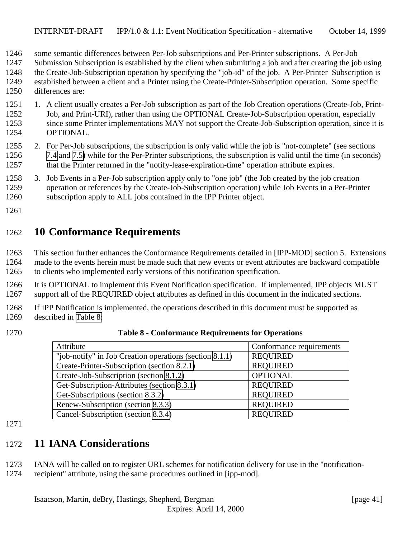- <span id="page-40-0"></span>some semantic differences between Per-Job subscriptions and Per-Printer subscriptions. A Per-Job
- Submission Subscription is established by the client when submitting a job and after creating the job using
- the Create-Job-Subscription operation by specifying the "job-id" of the job. A Per-Printer Subscription is
- established between a client and a Printer using the Create-Printer-Subscription operation. Some specific
- differences are:
- 1251 1. A client usually creates a Per-Job subscription as part of the Job Creation operations (Create-Job, Print- Job, and Print-URI), rather than using the OPTIONAL Create-Job-Subscription operation, especially 1253 since some Printer implementations MAY not support the Create-Job-Subscription operation, since it is OPTIONAL.
- 2. For Per-Job subscriptions, the subscription is only valid while the job is "not-complete" (see sections [7.4](#page-27-0) and [7.5\)](#page-29-0) while for the Per-Printer subscriptions, the subscription is valid until the time (in seconds) 1257 that the Printer returned in the "notify-lease-expiration-time" operation attribute expires.
- 3. Job Events in a Per-Job subscription apply only to "one job" (the Job created by the job creation operation or references by the Create-Job-Subscription operation) while Job Events in a Per-Printer subscription apply to ALL jobs contained in the IPP Printer object.
- 

# **10 Conformance Requirements**

 This section further enhances the Conformance Requirements detailed in [IPP-MOD] section 5. Extensions made to the events herein must be made such that new events or event attributes are backward compatible to clients who implemented early versions of this notification specification.

 It is OPTIONAL to implement this Event Notification specification. If implemented, IPP objects MUST support all of the REQUIRED object attributes as defined in this document in the indicated sections.

 If IPP Notification is implemented, the operations described in this document must be supported as described in Table 8:

| Attribute                                               | Conformance requirements |
|---------------------------------------------------------|--------------------------|
| "job-notify" in Job Creation operations (section 8.1.1) | <b>REQUIRED</b>          |
| Create-Printer-Subscription (section 8.2.1)             | <b>REQUIRED</b>          |
| Create-Job-Subscription (section 8.1.2)                 | <b>OPTIONAL</b>          |
| Get-Subscription-Attributes (section 8.3.1)             | <b>REQUIRED</b>          |
| Get-Subscriptions (section 8.3.2)                       | <b>REQUIRED</b>          |
| Renew-Subscription (section 8.3.3)                      | <b>REQUIRED</b>          |
| Cancel-Subscription (section 8.3.4)                     | <b>REQUIRED</b>          |

#### **Table 8 - Conformance Requirements for Operations**

# **11 IANA Considerations**

IANA will be called on to register URL schemes for notification delivery for use in the "notification-

recipient" attribute, using the same procedures outlined in [ipp-mod].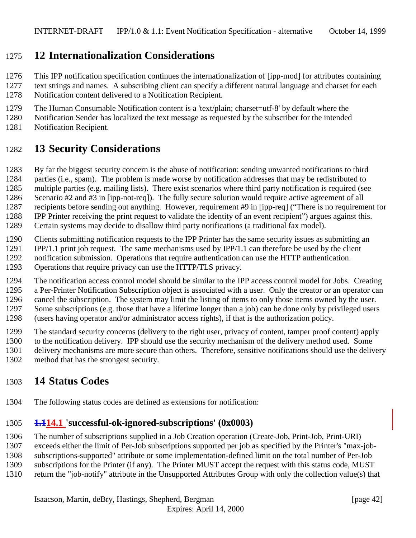# <span id="page-41-0"></span>**12 Internationalization Considerations**

This IPP notification specification continues the internationalization of [ipp-mod] for attributes containing

 text strings and names. A subscribing client can specify a different natural language and charset for each Notification content delivered to a Notification Recipient.

The Human Consumable Notification content is a 'text/plain; charset=utf-8' by default where the

Notification Sender has localized the text message as requested by the subscriber for the intended

Notification Recipient.

# **13 Security Considerations**

By far the biggest security concern is the abuse of notification: sending unwanted notifications to third

parties (i.e., spam). The problem is made worse by notification addresses that may be redistributed to

 multiple parties (e.g. mailing lists). There exist scenarios where third party notification is required (see Scenario #2 and #3 in [ipp-not-req]). The fully secure solution would require active agreement of all

recipients before sending out anything. However, requirement #9 in [ipp-req] ("There is no requirement for

IPP Printer receiving the print request to validate the identity of an event recipient") argues against this.

Certain systems may decide to disallow third party notifications (a traditional fax model).

Clients submitting notification requests to the IPP Printer has the same security issues as submitting an

IPP/1.1 print job request. The same mechanisms used by IPP/1.1 can therefore be used by the client

notification submission. Operations that require authentication can use the HTTP authentication.

Operations that require privacy can use the HTTP/TLS privacy.

The notification access control model should be similar to the IPP access control model for Jobs. Creating

a Per-Printer Notification Subscription object is associated with a user. Only the creator or an operator can

cancel the subscription. The system may limit the listing of items to only those items owned by the user.

Some subscriptions (e.g. those that have a lifetime longer than a job) can be done only by privileged users

(users having operator and/or administrator access rights), if that is the authorization policy.

The standard security concerns (delivery to the right user, privacy of content, tamper proof content) apply

to the notification delivery. IPP should use the security mechanism of the delivery method used. Some

delivery mechanisms are more secure than others. Therefore, sensitive notifications should use the delivery

method that has the strongest security.

# **14 Status Codes**

The following status codes are defined as extensions for notification:

# **1.114.1 'successful-ok-ignored-subscriptions' (0x0003)**

The number of subscriptions supplied in a Job Creation operation (Create-Job, Print-Job, Print-URI)

exceeds either the limit of Per-Job subscriptions supported per job as specified by the Printer's "max-job-

subscriptions-supported" attribute or some implementation-defined limit on the total number of Per-Job

subscriptions for the Printer (if any). The Printer MUST accept the request with this status code, MUST

return the "job-notify" attribute in the Unsupported Attributes Group with only the collection value(s) that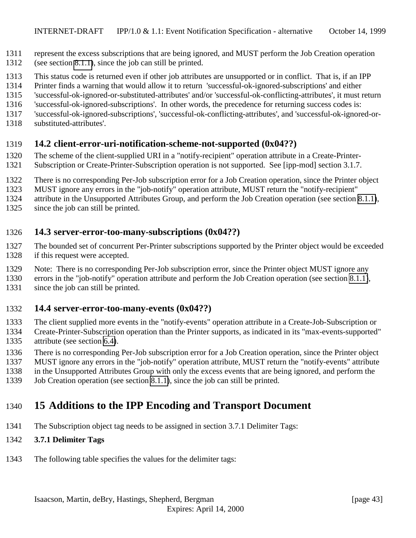- <span id="page-42-0"></span>represent the excess subscriptions that are being ignored, and MUST perform the Job Creation operation
- (see section [8.1.1\)](#page-30-0), since the job can still be printed.
- This status code is returned even if other job attributes are unsupported or in conflict. That is, if an IPP
- Printer finds a warning that would allow it to return 'successful-ok-ignored-subscriptions' and either
- 'successful-ok-ignored-or-substituted-attributes' and/or 'successful-ok-conflicting-attributes', it must return
- 'successful-ok-ignored-subscriptions'. In other words, the precedence for returning success codes is:
- 'successful-ok-ignored-subscriptions', 'successful-ok-conflicting-attributes', and 'successful-ok-ignored-or-
- substituted-attributes'.

## **14.2 client-error-uri-notification-scheme-not-supported (0x04??)**

- The scheme of the client-supplied URI in a "notify-recipient" operation attribute in a Create-Printer-
- Subscription or Create-Printer-Subscription operation is not supported. See [ipp-mod] section 3.1.7.
- There is no corresponding Per-Job subscription error for a Job Creation operation, since the Printer object
- MUST ignore any errors in the "job-notify" operation attribute, MUST return the "notify-recipient"
- attribute in the Unsupported Attributes Group, and perform the Job Creation operation (see section [8.1.1\)](#page-30-0),
- since the job can still be printed.

## **14.3 server-error-too-many-subscriptions (0x04??)**

- The bounded set of concurrent Per-Printer subscriptions supported by the Printer object would be exceeded if this request were accepted.
- Note: There is no corresponding Per-Job subscription error, since the Printer object MUST ignore any
- errors in the "job-notify" operation attribute and perform the Job Creation operation (see section [8.1.1\)](#page-30-0),
- since the job can still be printed.

### **14.4 server-error-too-many-events (0x04??)**

- The client supplied more events in the "notify-events" operation attribute in a Create-Job-Subscription or
- Create-Printer-Subscription operation than the Printer supports, as indicated in its "max-events-supported" attribute (see section [6.4\)](#page-24-0).
- There is no corresponding Per-Job subscription error for a Job Creation operation, since the Printer object
- MUST ignore any errors in the "job-notify" operation attribute, MUST return the "notify-events" attribute
- in the Unsupported Attributes Group with only the excess events that are being ignored, and perform the
- Job Creation operation (see section [8.1.1\)](#page-30-0), since the job can still be printed.

# **15 Additions to the IPP Encoding and Transport Document**

The Subscription object tag needs to be assigned in section 3.7.1 Delimiter Tags:

# **3.7.1 Delimiter Tags**

The following table specifies the values for the delimiter tags: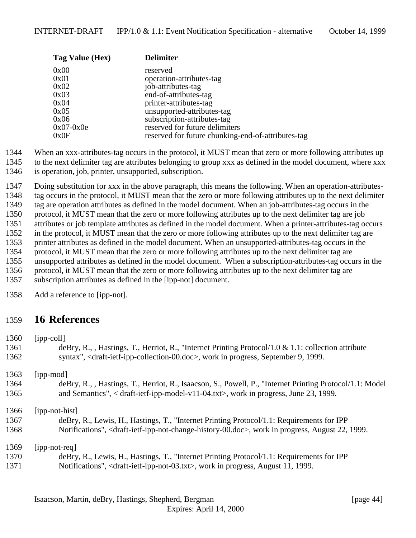<span id="page-43-0"></span>

| Tag Value (Hex) | <b>Delimiter</b>                                   |
|-----------------|----------------------------------------------------|
| 0x00            | reserved                                           |
| 0x01            | operation-attributes-tag                           |
| 0x02            | job-attributes-tag                                 |
| 0x03            | end-of-attributes-tag                              |
| 0x04            | printer-attributes-tag                             |
| 0x05            | unsupported-attributes-tag                         |
| 0x06            | subscription-attributes-tag                        |
| $0x07-0x0e$     | reserved for future delimiters                     |
| 0x0F            | reserved for future chunking-end-of-attributes-tag |

- When an xxx-attributes-tag occurs in the protocol, it MUST mean that zero or more following attributes up
- to the next delimiter tag are attributes belonging to group xxx as defined in the model document, where xxx
- is operation, job, printer, unsupported, subscription.

 Doing substitution for xxx in the above paragraph, this means the following. When an operation-attributes- tag occurs in the protocol, it MUST mean that the zero or more following attributes up to the next delimiter tag are operation attributes as defined in the model document. When an job-attributes-tag occurs in the protocol, it MUST mean that the zero or more following attributes up to the next delimiter tag are job attributes or job template attributes as defined in the model document. When a printer-attributes-tag occurs in the protocol, it MUST mean that the zero or more following attributes up to the next delimiter tag are printer attributes as defined in the model document. When an unsupported-attributes-tag occurs in the protocol, it MUST mean that the zero or more following attributes up to the next delimiter tag are unsupported attributes as defined in the model document. When a subscription-attributes-tag occurs in the protocol, it MUST mean that the zero or more following attributes up to the next delimiter tag are subscription attributes as defined in the [ipp-not] document.

Add a reference to [ipp-not].

# **16 References**

| 1360 | $[ipp-coll]$                                                                                                                              |
|------|-------------------------------------------------------------------------------------------------------------------------------------------|
| 1361 | deBry, R., , Hastings, T., Herriot, R., "Internet Printing Protocol/1.0 & 1.1: collection attribute                                       |
| 1362 | syntax", <draft-ietf-ipp-collection-00.doc>, work in progress, September 9, 1999.</draft-ietf-ipp-collection-00.doc>                      |
| 1363 | [ipp-mod]                                                                                                                                 |
| 1364 | deBry, R., , Hastings, T., Herriot, R., Isaacson, S., Powell, P., "Internet Printing Protocol/1.1: Model                                  |
| 1365 | and Semantics", $\langle$ draft-ietf-ipp-model-v11-04.txt $\rangle$ , work in progress, June 23, 1999.                                    |
| 1366 | [ipp-not-hist]                                                                                                                            |
| 1367 | deBry, R., Lewis, H., Hastings, T., "Internet Printing Protocol/1.1: Requirements for IPP                                                 |
| 1368 | Notifications", <draft-ietf-ipp-not-change-history-00.doc>, work in progress, August 22, 1999.</draft-ietf-ipp-not-change-history-00.doc> |
| 1369 | $[ipp-not-reg]$                                                                                                                           |
| 1370 | deBry, R., Lewis, H., Hastings, T., "Internet Printing Protocol/1.1: Requirements for IPP                                                 |
| 1371 | Notifications", <draft-ietf-ipp-not-03.txt>, work in progress, August 11, 1999.</draft-ietf-ipp-not-03.txt>                               |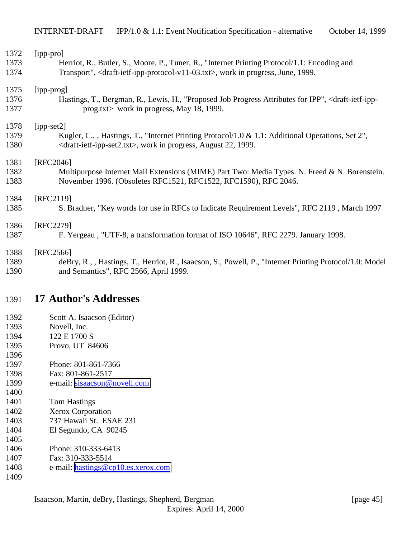<span id="page-44-0"></span>

| 1372 | [ipp-pro]                                                                                                                     |
|------|-------------------------------------------------------------------------------------------------------------------------------|
| 1373 | Herriot, R., Butler, S., Moore, P., Tuner, R., "Internet Printing Protocol/1.1: Encoding and                                  |
| 1374 | Transport", <draft-ietf-ipp-protocol-v11-03.txt>, work in progress, June, 1999.</draft-ietf-ipp-protocol-v11-03.txt>          |
| 1375 | [ipp-prog]                                                                                                                    |
| 1376 | Hastings, T., Bergman, R., Lewis, H., "Proposed Job Progress Attributes for IPP", <draft-ietf-ipp-< td=""></draft-ietf-ipp-<> |
| 1377 | prog.txt> work in progress, May 18, 1999.                                                                                     |
| 1378 | $[ipp-set2]$                                                                                                                  |
| 1379 | Kugler, C., , Hastings, T., "Internet Printing Protocol/1.0 & 1.1: Additional Operations, Set 2",                             |
| 1380 | <draft-ietf-ipp-set2.txt>, work in progress, August 22, 1999.</draft-ietf-ipp-set2.txt>                                       |
| 1381 | [RFC2046]                                                                                                                     |
| 1382 | Multipurpose Internet Mail Extensions (MIME) Part Two: Media Types. N. Freed & N. Borenstein.                                 |
| 1383 | November 1996. (Obsoletes RFC1521, RFC1522, RFC1590), RFC 2046.                                                               |
| 1384 | [RFC2119]                                                                                                                     |
| 1385 | S. Bradner, "Key words for use in RFCs to Indicate Requirement Levels", RFC 2119, March 1997                                  |
| 1386 | [RFC2279]                                                                                                                     |
| 1387 | F. Yergeau, "UTF-8, a transformation format of ISO 10646", RFC 2279. January 1998.                                            |
| 1388 | [RFC2566]                                                                                                                     |
| 1389 | deBry, R., , Hastings, T., Herriot, R., Isaacson, S., Powell, P., "Internet Printing Protocol/1.0: Model                      |
| 1390 | and Semantics", RFC 2566, April 1999.                                                                                         |
|      |                                                                                                                               |

# **17 Author's Addresses**

- Scott A. Isaacson (Editor)
- Novell, Inc.
- 1394 122 E 1700 S
- Provo, UT 84606
- Phone: 801-861-7366
- Fax: 801-861-2517
- e-mail: [sisaacson@novell.com](mailto:sisaacson@novell.com)
- Tom Hastings
- Xerox Corporation
- 737 Hawaii St. ESAE 231
- El Segundo, CA 90245
- Phone: 310-333-6413
- Fax: 310-333-5514
- e-mail: [hastings@cp10.es.xerox.com](mailto:hastings@cp10.es.xerox.com)
-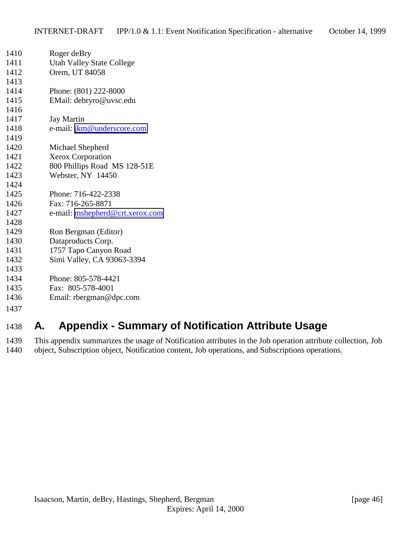<span id="page-45-0"></span>

| 1410 | Roger deBry                                                                 |
|------|-----------------------------------------------------------------------------|
| 1411 | <b>Utah Valley State College</b>                                            |
| 1412 | Orem, UT 84058                                                              |
| 1413 |                                                                             |
| 1414 | Phone: (801) 222-8000                                                       |
| 1415 | EMail: debryro@uvsc.edu                                                     |
| 1416 |                                                                             |
| 1417 | <b>Jay Martin</b>                                                           |
| 1418 | e-mail: jkm@underscore.com                                                  |
| 1419 |                                                                             |
| 1420 | Michael Shepherd                                                            |
| 1421 | Xerox Corporation                                                           |
| 1422 | 800 Phillips Road MS 128-51E                                                |
| 1423 | Webster, NY 14450                                                           |
| 1424 |                                                                             |
| 1425 | Phone: 716-422-2338                                                         |
| 1426 | Fax: 716-265-8871                                                           |
| 1427 | e-mail: mshepherd@crt.xerox.com                                             |
| 1428 |                                                                             |
| 1429 | Ron Bergman (Editor)                                                        |
| 1430 | Dataproducts Corp.                                                          |
| 1431 | 1757 Tapo Canyon Road                                                       |
| 1432 | Simi Valley, CA 93063-3394                                                  |
| 1433 |                                                                             |
| 1434 | Phone: 805-578-4421                                                         |
| 1435 | Fax: 805-578-4001                                                           |
| 1436 | Email: $rbegin@ifnextchar[{\@model{thm}}{\mathbf{c} \times \mathbf{c}}$ Com |
| 1437 |                                                                             |
|      |                                                                             |

# **A. Appendix - Summary of Notification Attribute Usage**

 This appendix summarizes the usage of Notification attributes in the Job operation attribute collection, Job object, Subscription object, Notification content, Job operations, and Subscriptions operations.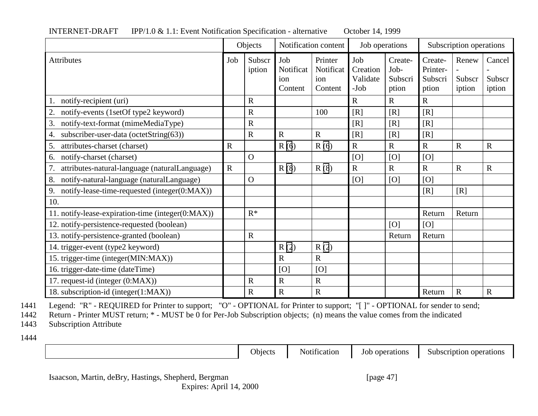|                                                     | Objects     |                  | Notification content               |                                        | Job operations                        |                                     | Subscription operations                 |                           |                            |
|-----------------------------------------------------|-------------|------------------|------------------------------------|----------------------------------------|---------------------------------------|-------------------------------------|-----------------------------------------|---------------------------|----------------------------|
| <b>Attributes</b>                                   | Job         | Subscr<br>iption | Job<br>Notificat<br>ion<br>Content | Printer<br>Notificat<br>ion<br>Content | Job<br>Creation<br>Validate<br>$-Job$ | Create-<br>Job-<br>Subscri<br>ption | Create-<br>Printer-<br>Subscri<br>ption | Renew<br>Subscr<br>iption | Cancel<br>Subscr<br>iption |
| notify-recipient (uri)                              |             | $\mathbf R$      |                                    |                                        | $\mathbf R$                           | $\mathbf R$                         | $\mathbf R$                             |                           |                            |
| notify-events (1setOf type2 keyword)<br>2.          |             | $\mathbf R$      |                                    | 100                                    | [R]                                   | [R]                                 | [R]                                     |                           |                            |
| 3.<br>notify-text-format (mimeMediaType)            |             | $\mathbf R$      |                                    |                                        | [R]                                   | [R]                                 | [R]                                     |                           |                            |
| subscriber-user-data (octetString(63))<br>4.        |             | $\mathbf R$      | $\mathbf R$                        | $\mathbf R$                            | [R]                                   | [R]                                 | [R]                                     |                           |                            |
| attributes-charset (charset)<br>5.                  | $\mathbf R$ |                  | R(6)                               | R(6)                                   | $\overline{R}$                        | $\overline{R}$                      | $\mathbf R$                             | $\mathbf R$               | $\mathbf R$                |
| notify-charset (charset)<br>6.                      |             | $\Omega$         |                                    |                                        | [O]                                   | [O]                                 | [O]                                     |                           |                            |
| 7.<br>attributes-natural-language (naturalLanguage) | $\mathbf R$ |                  | R(8)                               | R(8)                                   | $\mathbf R$                           | $\mathbf R$                         | $\mathbf R$                             | $\mathbf R$               | $\mathbf R$                |
| 8.<br>notify-natural-language (naturalLanguage)     |             | $\overline{O}$   |                                    |                                        | [O]                                   | [O]                                 | [O]                                     |                           |                            |
| 9.<br>notify-lease-time-requested (integer(0:MAX))  |             |                  |                                    |                                        |                                       |                                     | [R]                                     | [R]                       |                            |
| 10.                                                 |             |                  |                                    |                                        |                                       |                                     |                                         |                           |                            |
| 11. notify-lease-expiration-time (integer(0:MAX))   |             | $R^*$            |                                    |                                        |                                       |                                     | Return                                  | Return                    |                            |
| 12. notify-persistence-requested (boolean)          |             |                  |                                    |                                        |                                       | [O]                                 | [O]                                     |                           |                            |
| 13. notify-persistence-granted (boolean)            |             | $\mathbf R$      |                                    |                                        |                                       | Return                              | Return                                  |                           |                            |
| 14. trigger-event (type2 keyword)                   |             |                  | R(2)                               | R(2)                                   |                                       |                                     |                                         |                           |                            |
| 15. trigger-time (integer(MIN:MAX))                 |             |                  | $\mathsf{R}$                       | $\mathbf R$                            |                                       |                                     |                                         |                           |                            |
| 16. trigger-date-time (dateTime)                    |             |                  | [O]                                | [O]                                    |                                       |                                     |                                         |                           |                            |
| 17. request-id (integer (0:MAX))                    |             | $\mathbf R$      | $\mathbf R$                        | $\mathbf R$                            |                                       |                                     |                                         |                           |                            |
| 18. subscription-id (integer(1:MAX))                |             | $\mathbf R$      | $\mathbf R$                        | $\mathbf R$                            |                                       |                                     | Return                                  | ${\bf R}$                 | $\mathbf R$                |

#### INTERNET-DRAFT IPP/1.0 & 1.1: Event Notification Specification - alternative October 14, 1999

1441 Legend: "R" - REQUIRED for Printer to support; "O" - OPTIONAL for Printer to support; "[ ]" - OPTIONAL for sender to send;<br>1442 Return - Printer MUST return; \* - MUST be 0 for Per-Job Subscription objects; (n) means t

Return - Printer MUST return; \* - MUST be 0 for Per-Job Subscription objects; (n) means the value comes from the indicated

1443 Subscription Attribute

1444

Objects Notification Job operations Subscription operations

Isaacson, Martin, deBry, Hastings, Shepherd, Bergman [page 47] Expires: April 14, 2000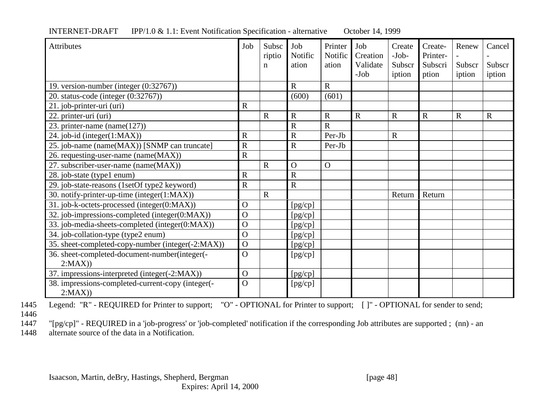| <b>Attributes</b>                                           | Job                   | Subsc<br>riptio<br>n | Job<br>Notific<br>ation | Printer<br>Notific<br>ation | Job<br>Creation<br>Validate<br>$-Job$ | Create<br>$-Job-$<br>Subscr<br>iption | Create-<br>Printer-<br>Subscri<br>ption | Renew<br>Subscr<br>iption | Cancel<br>Subscr<br>iption |
|-------------------------------------------------------------|-----------------------|----------------------|-------------------------|-----------------------------|---------------------------------------|---------------------------------------|-----------------------------------------|---------------------------|----------------------------|
| 19. version-number (integer (0:32767))                      |                       |                      | $\mathbf R$             | $\mathbf R$                 |                                       |                                       |                                         |                           |                            |
| 20. status-code (integer (0:32767))                         |                       |                      | (600)                   | (601)                       |                                       |                                       |                                         |                           |                            |
| 21. job-printer-uri (uri)                                   | $\overline{R}$        |                      |                         |                             |                                       |                                       |                                         |                           |                            |
| 22. printer-uri (uri)                                       |                       | $\mathbf R$          | $\mathbf R$             | $\mathbf R$                 | $\mathbf R$                           | $\mathbf R$                           | $\mathbf R$                             | $\mathbf R$               | $\mathbf R$                |
| 23. printer-name $(name(127))$                              |                       |                      | $\overline{R}$          | R                           |                                       |                                       |                                         |                           |                            |
| 24. job-id (integer(1:MAX))                                 | $\mathbf R$           |                      | $\mathbf R$             | Per-Jb                      |                                       | $\mathbf R$                           |                                         |                           |                            |
| 25. job-name (name(MAX)) [SNMP can truncate]                | $\mathbf R$           |                      | $\overline{R}$          | Per-Jb                      |                                       |                                       |                                         |                           |                            |
| 26. requesting-user-name (name(MAX))                        | $\overline{\text{R}}$ |                      |                         |                             |                                       |                                       |                                         |                           |                            |
| 27. subscriber-user-name (name(MAX))                        |                       | $\mathbf R$          | $\Omega$                | $\mathbf{O}$                |                                       |                                       |                                         |                           |                            |
| 28. job-state (type1 enum)                                  | $\overline{R}$        |                      | $\mathbf R$             |                             |                                       |                                       |                                         |                           |                            |
| 29. job-state-reasons (1setOf type2 keyword)                | $\overline{R}$        |                      | $\overline{\text{R}}$   |                             |                                       |                                       |                                         |                           |                            |
| 30. notify-printer-up-time (integer(1:MAX))                 |                       | $\overline{R}$       |                         |                             |                                       | Return                                | Return                                  |                           |                            |
| 31. job-k-octets-processed (integer(0:MAX))                 | $\Omega$              |                      | [pg/cp]                 |                             |                                       |                                       |                                         |                           |                            |
| 32. job-impressions-completed (integer(0:MAX))              | $\Omega$              |                      | [pg/cp]                 |                             |                                       |                                       |                                         |                           |                            |
| 33. job-media-sheets-completed (integer(0:MAX))             | $\mathbf{O}$          |                      | [pg/cp]                 |                             |                                       |                                       |                                         |                           |                            |
| 34. job-collation-type (type2 enum)                         | $\overline{O}$        |                      | [pg/cp]                 |                             |                                       |                                       |                                         |                           |                            |
| 35. sheet-completed-copy-number (integer(-2:MAX))           | $\Omega$              |                      | [pg/cp]                 |                             |                                       |                                       |                                         |                           |                            |
| 36. sheet-completed-document-number(integer(-               | $\overline{O}$        |                      | [pg/cp]                 |                             |                                       |                                       |                                         |                           |                            |
| 2:MAX)                                                      |                       |                      |                         |                             |                                       |                                       |                                         |                           |                            |
| 37. impressions-interpreted (integer(-2:MAX))               | $\mathbf{O}$          |                      | [pg/cp]                 |                             |                                       |                                       |                                         |                           |                            |
| 38. impressions-completed-current-copy (integer(-<br>2:MAX) | $\overline{O}$        |                      | [pg/cp]                 |                             |                                       |                                       |                                         |                           |                            |

#### INTERNET-DRAFT IPP/1.0 & 1.1: Event Notification Specification - alternative October 14, 1999

1445 Legend: "R" - REQUIRED for Printer to support; "O" - OPTIONAL for Printer to support; [ ]" - OPTIONAL for sender to send; 1446

1447 "[pg/cp]" - REQUIRED in a 'job-progress' or 'job-completed' notification if the corresponding Job attributes are supported ; (nn) - an 1448 alternate source of the data in a Notification.

Isaacson, Martin, deBry, Hastings, Shepherd, Bergman [page 48]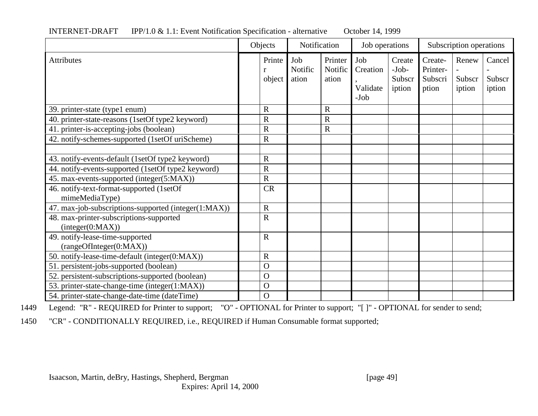|                                                             | Objects          | Notification            |                             | Job operations                        |                                       | Subscription operations                 |                           |                            |
|-------------------------------------------------------------|------------------|-------------------------|-----------------------------|---------------------------------------|---------------------------------------|-----------------------------------------|---------------------------|----------------------------|
| <b>Attributes</b>                                           | Printe<br>object | Job<br>Notific<br>ation | Printer<br>Notific<br>ation | Job<br>Creation<br>Validate<br>$-Job$ | Create<br>$-Job-$<br>Subscr<br>iption | Create-<br>Printer-<br>Subscri<br>ption | Renew<br>Subscr<br>iption | Cancel<br>Subscr<br>iption |
| 39. printer-state (type1 enum)                              | $\mathbf R$      |                         | R                           |                                       |                                       |                                         |                           |                            |
| 40. printer-state-reasons (1setOf type2 keyword)            | $\mathbf R$      |                         | $\overline{\mathrm{R}}$     |                                       |                                       |                                         |                           |                            |
| 41. printer-is-accepting-jobs (boolean)                     | $\mathbf R$      |                         | $\mathbf R$                 |                                       |                                       |                                         |                           |                            |
| 42. notify-schemes-supported (1setOf uriScheme)             | $\mathbf R$      |                         |                             |                                       |                                       |                                         |                           |                            |
|                                                             |                  |                         |                             |                                       |                                       |                                         |                           |                            |
| 43. notify-events-default (1setOf type2 keyword)            | $\mathbf R$      |                         |                             |                                       |                                       |                                         |                           |                            |
| 44. notify-events-supported (1setOf type2 keyword)          | $\overline{R}$   |                         |                             |                                       |                                       |                                         |                           |                            |
| 45. max-events-supported (integer(5:MAX))                   | $\mathbf R$      |                         |                             |                                       |                                       |                                         |                           |                            |
| 46. notify-text-format-supported (1setOf                    | <b>CR</b>        |                         |                             |                                       |                                       |                                         |                           |                            |
| mimeMediaType)                                              |                  |                         |                             |                                       |                                       |                                         |                           |                            |
| 47. max-job-subscriptions-supported (integer(1:MAX))        | ${\bf R}$        |                         |                             |                                       |                                       |                                         |                           |                            |
| 48. max-printer-subscriptions-supported<br>interger(0:MAX)) | $\mathbf R$      |                         |                             |                                       |                                       |                                         |                           |                            |
| 49. notify-lease-time-supported                             | $\mathbf R$      |                         |                             |                                       |                                       |                                         |                           |                            |
| (rangeOfInteger(0:MAX))                                     |                  |                         |                             |                                       |                                       |                                         |                           |                            |
| 50. notify-lease-time-default (integer(0:MAX))              | $\mathbf R$      |                         |                             |                                       |                                       |                                         |                           |                            |
| 51. persistent-jobs-supported (boolean)                     | $\Omega$         |                         |                             |                                       |                                       |                                         |                           |                            |
| 52. persistent-subscriptions-supported (boolean)            | $\Omega$         |                         |                             |                                       |                                       |                                         |                           |                            |
| 53. printer-state-change-time (integer(1:MAX))              | $\mathbf O$      |                         |                             |                                       |                                       |                                         |                           |                            |
| 54. printer-state-change-date-time (dateTime)               | $\mathbf O$      |                         |                             |                                       |                                       |                                         |                           |                            |

#### INTERNET-DRAFT IPP/1.0 & 1.1: Event Notification Specification - alternative October 14, 1999

1449 Legend: "R" - REQUIRED for Printer to support; "O" - OPTIONAL for Printer to support; "[ ]" - OPTIONAL for sender to send;

1450 "CR" - CONDITIONALLY REQUIRED, i.e., REQUIRED if Human Consumable format supported;